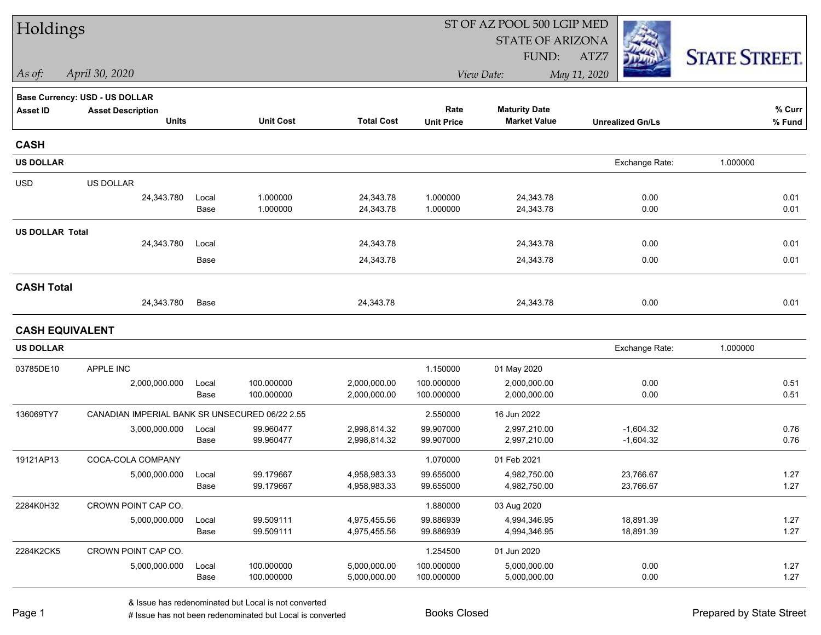| Holdings               |                                                |               |                          |                              | ST OF AZ POOL 500 LGIP MED |                              |                         |                      |  |  |
|------------------------|------------------------------------------------|---------------|--------------------------|------------------------------|----------------------------|------------------------------|-------------------------|----------------------|--|--|
|                        |                                                |               |                          |                              |                            | <b>STATE OF ARIZONA</b>      |                         |                      |  |  |
|                        |                                                |               |                          |                              |                            | FUND:                        | ATZ7                    | <b>STATE STREET.</b> |  |  |
| As of:                 | April 30, 2020                                 |               |                          |                              | View Date:                 |                              |                         |                      |  |  |
|                        | <b>Base Currency: USD - US DOLLAR</b>          |               |                          |                              |                            |                              |                         |                      |  |  |
| <b>Asset ID</b>        | <b>Asset Description</b>                       |               |                          |                              | Rate                       | <b>Maturity Date</b>         |                         | % Curr               |  |  |
|                        | <b>Units</b>                                   |               | <b>Unit Cost</b>         | <b>Total Cost</b>            | <b>Unit Price</b>          | <b>Market Value</b>          | <b>Unrealized Gn/Ls</b> | % Fund               |  |  |
| <b>CASH</b>            |                                                |               |                          |                              |                            |                              |                         |                      |  |  |
| <b>US DOLLAR</b>       |                                                |               |                          |                              |                            |                              | Exchange Rate:          | 1.000000             |  |  |
| <b>USD</b>             | US DOLLAR                                      |               |                          |                              |                            |                              |                         |                      |  |  |
|                        | 24,343.780                                     | Local         | 1.000000                 | 24,343.78                    | 1.000000                   | 24,343.78                    | 0.00                    | 0.01                 |  |  |
|                        |                                                | Base          | 1.000000                 | 24,343.78                    | 1.000000                   | 24,343.78                    | 0.00                    | 0.01                 |  |  |
| <b>US DOLLAR Total</b> |                                                |               |                          |                              |                            |                              |                         |                      |  |  |
|                        | 24,343.780                                     | Local         |                          | 24,343.78                    |                            | 24,343.78                    | 0.00                    | 0.01                 |  |  |
|                        |                                                | Base          |                          | 24,343.78                    |                            | 24,343.78                    | 0.00                    | 0.01                 |  |  |
| <b>CASH Total</b>      |                                                |               |                          |                              |                            |                              |                         |                      |  |  |
|                        | 24,343.780                                     | Base          |                          | 24,343.78                    |                            | 24,343.78                    | 0.00                    | 0.01                 |  |  |
| <b>CASH EQUIVALENT</b> |                                                |               |                          |                              |                            |                              |                         |                      |  |  |
| <b>US DOLLAR</b>       |                                                |               |                          |                              |                            |                              | Exchange Rate:          | 1.000000             |  |  |
| 03785DE10              | APPLE INC                                      |               |                          |                              | 1.150000                   | 01 May 2020                  |                         |                      |  |  |
|                        | 2,000,000.000                                  | Local         | 100.000000               | 2,000,000.00                 | 100.000000                 | 2,000,000.00                 | 0.00                    | 0.51                 |  |  |
|                        |                                                | Base          | 100.000000               | 2,000,000.00                 | 100.000000                 | 2,000,000.00                 | 0.00                    | 0.51                 |  |  |
| 136069TY7              | CANADIAN IMPERIAL BANK SR UNSECURED 06/22 2.55 |               |                          |                              | 2.550000                   | 16 Jun 2022                  |                         |                      |  |  |
|                        | 3,000,000.000                                  | Local         | 99.960477                | 2,998,814.32                 | 99.907000                  | 2,997,210.00                 | $-1,604.32$             | 0.76                 |  |  |
|                        |                                                | Base          | 99.960477                | 2,998,814.32                 | 99.907000                  | 2,997,210.00                 | $-1,604.32$             | 0.76                 |  |  |
| 19121AP13              | COCA-COLA COMPANY                              |               |                          |                              | 1.070000                   | 01 Feb 2021                  |                         |                      |  |  |
|                        | 5,000,000.000                                  | Local         | 99.179667                | 4,958,983.33                 | 99.655000                  | 4,982,750.00                 | 23,766.67               | 1.27                 |  |  |
|                        |                                                | Base          | 99.179667                | 4,958,983.33                 | 99.655000                  | 4,982,750.00                 | 23,766.67               | 1.27                 |  |  |
| 2284K0H32              | CROWN POINT CAP CO.                            |               |                          |                              | 1.880000                   | 03 Aug 2020                  |                         |                      |  |  |
|                        | 5,000,000.000                                  | Local         | 99.509111<br>99.509111   | 4,975,455.56                 | 99.886939                  | 4,994,346.95                 | 18,891.39               | 1.27                 |  |  |
|                        |                                                | Base          |                          | 4,975,455.56                 | 99.886939                  | 4,994,346.95                 | 18,891.39               | 1.27                 |  |  |
| 2284K2CK5              | CROWN POINT CAP CO.                            |               |                          |                              | 1.254500                   | 01 Jun 2020                  |                         |                      |  |  |
|                        | 5,000,000.000                                  | Local<br>Base | 100.000000<br>100.000000 | 5,000,000.00<br>5,000,000.00 | 100.000000<br>100.000000   | 5,000,000.00<br>5,000,000.00 | 0.00<br>0.00            | 1.27<br>1.27         |  |  |
|                        |                                                |               |                          |                              |                            |                              |                         |                      |  |  |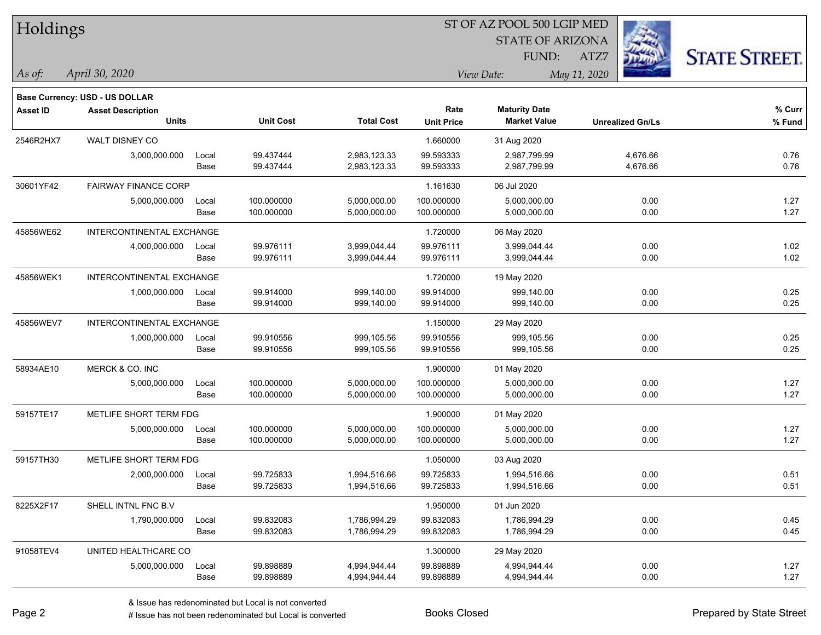| Holdings        |                                |       |                  | ST OF AZ POOL 500 LGIP MED |                   |                         |              |                         |                      |
|-----------------|--------------------------------|-------|------------------|----------------------------|-------------------|-------------------------|--------------|-------------------------|----------------------|
|                 |                                |       |                  |                            |                   | <b>STATE OF ARIZONA</b> |              |                         |                      |
|                 |                                |       |                  |                            |                   | FUND:                   | ATZ7         |                         | <b>STATE STREET.</b> |
| As of:          | April 30, 2020                 |       |                  |                            |                   | View Date:              | May 11, 2020 |                         |                      |
|                 | Base Currency: USD - US DOLLAR |       |                  |                            |                   |                         |              |                         |                      |
| <b>Asset ID</b> | <b>Asset Description</b>       |       |                  |                            | Rate              | <b>Maturity Date</b>    |              |                         | % Curr               |
|                 | <b>Units</b>                   |       | <b>Unit Cost</b> | <b>Total Cost</b>          | <b>Unit Price</b> | <b>Market Value</b>     |              | <b>Unrealized Gn/Ls</b> | % Fund               |
| 2546R2HX7       | WALT DISNEY CO                 |       |                  |                            | 1.660000          | 31 Aug 2020             |              |                         |                      |
|                 | 3,000,000.000                  | Local | 99.437444        | 2,983,123.33               | 99.593333         | 2,987,799.99            |              | 4,676.66                | 0.76                 |
|                 |                                | Base  | 99.437444        | 2,983,123.33               | 99.593333         | 2,987,799.99            |              | 4,676.66                | 0.76                 |
| 30601YF42       | <b>FAIRWAY FINANCE CORP</b>    |       |                  |                            | 1.161630          | 06 Jul 2020             |              |                         |                      |
|                 | 5,000,000.000                  | Local | 100.000000       | 5,000,000.00               | 100.000000        | 5,000,000.00            |              | 0.00                    | 1.27                 |
|                 |                                | Base  | 100.000000       | 5,000,000.00               | 100.000000        | 5,000,000.00            |              | 0.00                    | 1.27                 |
| 45856WE62       | INTERCONTINENTAL EXCHANGE      |       |                  |                            | 1.720000          | 06 May 2020             |              |                         |                      |
|                 | 4,000,000.000                  | Local | 99.976111        | 3,999,044.44               | 99.976111         | 3,999,044.44            |              | 0.00                    | 1.02                 |
|                 |                                | Base  | 99.976111        | 3,999,044.44               | 99.976111         | 3,999,044.44            |              | 0.00                    | 1.02                 |
| 45856WEK1       | INTERCONTINENTAL EXCHANGE      |       |                  |                            | 1.720000          | 19 May 2020             |              |                         |                      |
|                 | 1,000,000.000                  | Local | 99.914000        | 999,140.00                 | 99.914000         | 999,140.00              |              | 0.00                    | 0.25                 |
|                 |                                | Base  | 99.914000        | 999,140.00                 | 99.914000         | 999,140.00              |              | 0.00                    | 0.25                 |
| 45856WEV7       | INTERCONTINENTAL EXCHANGE      |       |                  |                            | 1.150000          | 29 May 2020             |              |                         |                      |
|                 | 1,000,000.000                  | Local | 99.910556        | 999,105.56                 | 99.910556         | 999,105.56              |              | 0.00                    | 0.25                 |
|                 |                                | Base  | 99.910556        | 999,105.56                 | 99.910556         | 999,105.56              |              | 0.00                    | 0.25                 |
| 58934AE10       | MERCK & CO. INC                |       |                  |                            | 1.900000          | 01 May 2020             |              |                         |                      |
|                 | 5,000,000.000                  | Local | 100.000000       | 5,000,000.00               | 100.000000        | 5,000,000.00            |              | 0.00                    | 1.27                 |
|                 |                                | Base  | 100.000000       | 5,000,000.00               | 100.000000        | 5,000,000.00            |              | 0.00                    | 1.27                 |
| 59157TE17       | METLIFE SHORT TERM FDG         |       |                  |                            | 1.900000          | 01 May 2020             |              |                         |                      |
|                 | 5,000,000.000                  | Local | 100.000000       | 5,000,000.00               | 100.000000        | 5,000,000.00            |              | 0.00                    | 1.27                 |
|                 |                                | Base  | 100.000000       | 5,000,000.00               | 100.000000        | 5,000,000.00            |              | 0.00                    | 1.27                 |
| 59157TH30       | METLIFE SHORT TERM FDG         |       |                  |                            | 1.050000          | 03 Aug 2020             |              |                         |                      |
|                 | 2,000,000.000                  | Local | 99.725833        | 1,994,516.66               | 99.725833         | 1,994,516.66            |              | 0.00                    | 0.51                 |
|                 |                                | Base  | 99.725833        | 1,994,516.66               | 99.725833         | 1,994,516.66            |              | 0.00                    | 0.51                 |
| 8225X2F17       | SHELL INTNL FNC B.V            |       |                  |                            | 1.950000          | 01 Jun 2020             |              |                         |                      |
|                 | 1,790,000.000                  | Local | 99.832083        | 1,786,994.29               | 99.832083         | 1,786,994.29            |              | 0.00                    | 0.45                 |
|                 |                                | Base  | 99.832083        | 1,786,994.29               | 99.832083         | 1,786,994.29            |              | 0.00                    | 0.45                 |
| 91058TEV4       | UNITED HEALTHCARE CO           |       |                  |                            | 1.300000          | 29 May 2020             |              |                         |                      |
|                 | 5,000,000.000                  | Local | 99.898889        | 4,994,944.44               | 99.898889         | 4,994,944.44            |              | 0.00                    | 1.27                 |
|                 |                                | Base  | 99.898889        | 4,994,944.44               | 99.898889         | 4,994,944.44            |              | 0.00                    | 1.27                 |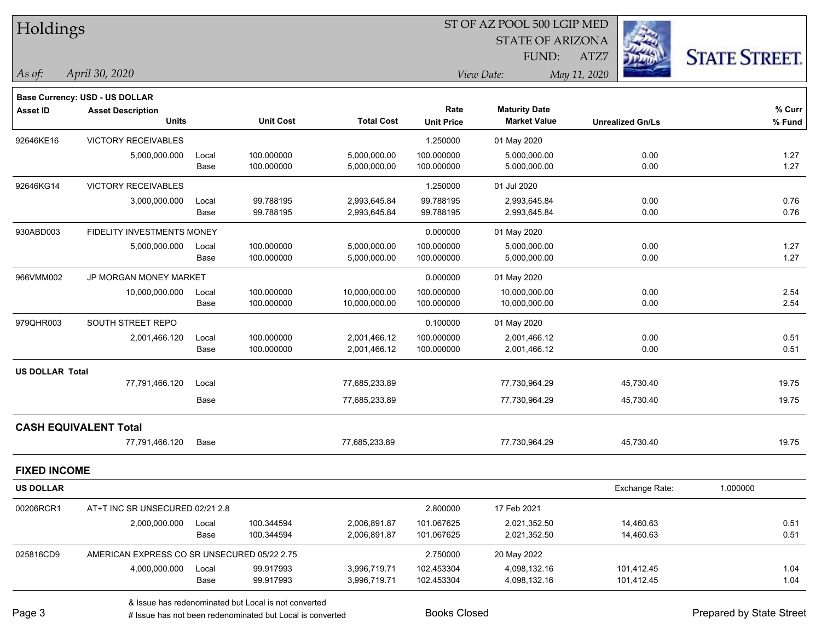| Holdings               |                                             |       |                  |                   | ST OF AZ POOL 500 LGIP MED |                         |                         |                      |  |
|------------------------|---------------------------------------------|-------|------------------|-------------------|----------------------------|-------------------------|-------------------------|----------------------|--|
|                        |                                             |       |                  |                   |                            | <b>STATE OF ARIZONA</b> |                         |                      |  |
|                        |                                             |       |                  |                   |                            | FUND:                   | ATZ7                    | <b>STATE STREET.</b> |  |
| As of:                 | April 30, 2020                              |       |                  |                   |                            | View Date:              | May 11, 2020            |                      |  |
|                        | <b>Base Currency: USD - US DOLLAR</b>       |       |                  |                   |                            |                         |                         |                      |  |
| <b>Asset ID</b>        | <b>Asset Description</b>                    |       |                  |                   | Rate                       | <b>Maturity Date</b>    |                         | % Curr               |  |
|                        | <b>Units</b>                                |       | <b>Unit Cost</b> | <b>Total Cost</b> | <b>Unit Price</b>          | <b>Market Value</b>     | <b>Unrealized Gn/Ls</b> | % Fund               |  |
| 92646KE16              | <b>VICTORY RECEIVABLES</b>                  |       |                  |                   | 1.250000                   | 01 May 2020             |                         |                      |  |
|                        | 5,000,000.000                               | Local | 100.000000       | 5,000,000.00      | 100.000000                 | 5,000,000.00            | 0.00                    | 1.27                 |  |
|                        |                                             | Base  | 100.000000       | 5,000,000.00      | 100.000000                 | 5,000,000.00            | 0.00                    | 1.27                 |  |
| 92646KG14              | VICTORY RECEIVABLES                         |       |                  |                   | 1.250000                   | 01 Jul 2020             |                         |                      |  |
|                        | 3,000,000.000                               | Local | 99.788195        | 2,993,645.84      | 99.788195                  | 2,993,645.84            | 0.00                    | 0.76                 |  |
|                        |                                             | Base  | 99.788195        | 2,993,645.84      | 99.788195                  | 2,993,645.84            | 0.00                    | 0.76                 |  |
| 930ABD003              | <b>FIDELITY INVESTMENTS MONEY</b>           |       |                  |                   | 0.000000                   | 01 May 2020             |                         |                      |  |
|                        | 5,000,000.000                               | Local | 100.000000       | 5,000,000.00      | 100.000000                 | 5,000,000.00            | 0.00                    | 1.27                 |  |
|                        |                                             | Base  | 100.000000       | 5,000,000.00      | 100.000000                 | 5,000,000.00            | 0.00                    | 1.27                 |  |
| 966VMM002              | JP MORGAN MONEY MARKET                      |       |                  |                   | 0.000000                   | 01 May 2020             |                         |                      |  |
|                        | 10,000,000.000                              | Local | 100.000000       | 10,000,000.00     | 100.000000                 | 10,000,000.00           | 0.00                    | 2.54                 |  |
|                        |                                             | Base  | 100.000000       | 10,000,000.00     | 100.000000                 | 10,000,000.00           | 0.00                    | 2.54                 |  |
| 979QHR003              | SOUTH STREET REPO                           |       |                  |                   | 0.100000                   | 01 May 2020             |                         |                      |  |
|                        | 2,001,466.120                               | Local | 100.000000       | 2,001,466.12      | 100.000000                 | 2,001,466.12            | 0.00                    | 0.51                 |  |
|                        |                                             | Base  | 100.000000       | 2,001,466.12      | 100.000000                 | 2,001,466.12            | 0.00                    | 0.51                 |  |
| <b>US DOLLAR Total</b> |                                             |       |                  |                   |                            |                         |                         |                      |  |
|                        | 77,791,466.120                              | Local |                  | 77,685,233.89     |                            | 77,730,964.29           | 45,730.40               | 19.75                |  |
|                        |                                             | Base  |                  | 77,685,233.89     |                            | 77,730,964.29           | 45,730.40               | 19.75                |  |
|                        | <b>CASH EQUIVALENT Total</b>                |       |                  |                   |                            |                         |                         |                      |  |
|                        | 77,791,466.120                              | Base  |                  | 77,685,233.89     |                            | 77,730,964.29           | 45,730.40               | 19.75                |  |
|                        |                                             |       |                  |                   |                            |                         |                         |                      |  |
| <b>FIXED INCOME</b>    |                                             |       |                  |                   |                            |                         |                         |                      |  |
| <b>US DOLLAR</b>       |                                             |       |                  |                   |                            |                         | Exchange Rate:          | 1.000000             |  |
| 00206RCR1              | AT+T INC SR UNSECURED 02/21 2.8             |       |                  |                   | 2.800000                   | 17 Feb 2021             |                         |                      |  |
|                        | 2,000,000.000                               | Local | 100.344594       | 2,006,891.87      | 101.067625                 | 2,021,352.50            | 14,460.63               | 0.51                 |  |
|                        |                                             | Base  | 100.344594       | 2,006,891.87      | 101.067625                 | 2,021,352.50            | 14,460.63               | 0.51                 |  |
| 025816CD9              | AMERICAN EXPRESS CO SR UNSECURED 05/22 2.75 |       |                  |                   | 2.750000                   | 20 May 2022             |                         |                      |  |
|                        | 4,000,000.000                               | Local | 99.917993        | 3,996,719.71      | 102.453304                 | 4,098,132.16            | 101,412.45              | 1.04                 |  |
|                        |                                             | Base  | 99.917993        | 3,996,719.71      | 102.453304                 | 4,098,132.16            | 101,412.45              | 1.04                 |  |

denote the redenominated but Local is converted Books Closed Prepared by State Street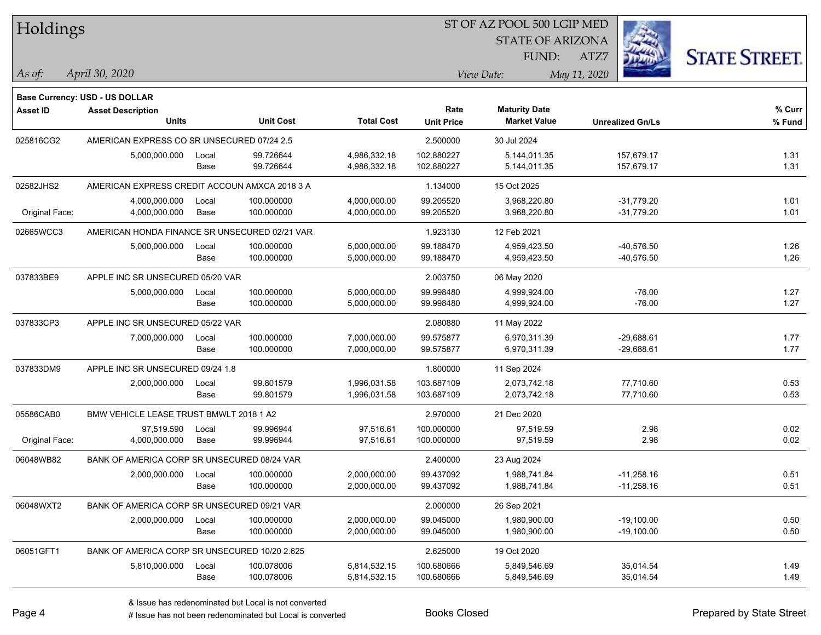| Holdings        |                                                            |       |                  |                   | ST OF AZ POOL 500 LGIP MED |                         |                         |                      |  |  |
|-----------------|------------------------------------------------------------|-------|------------------|-------------------|----------------------------|-------------------------|-------------------------|----------------------|--|--|
|                 |                                                            |       |                  |                   |                            | <b>STATE OF ARIZONA</b> |                         |                      |  |  |
|                 |                                                            |       |                  |                   |                            | FUND:                   | ATZ7                    | <b>STATE STREET.</b> |  |  |
| As of:          | April 30, 2020                                             |       |                  |                   |                            | View Date:              | May 11, 2020            |                      |  |  |
|                 |                                                            |       |                  |                   |                            |                         |                         |                      |  |  |
| <b>Asset ID</b> | Base Currency: USD - US DOLLAR<br><b>Asset Description</b> |       |                  |                   | Rate                       | <b>Maturity Date</b>    |                         | % Curr               |  |  |
|                 | <b>Units</b>                                               |       | <b>Unit Cost</b> | <b>Total Cost</b> | <b>Unit Price</b>          | <b>Market Value</b>     | <b>Unrealized Gn/Ls</b> | % Fund               |  |  |
| 025816CG2       | AMERICAN EXPRESS CO SR UNSECURED 07/24 2.5                 |       |                  |                   | 2.500000                   | 30 Jul 2024             |                         |                      |  |  |
|                 | 5,000,000.000                                              | Local | 99.726644        | 4,986,332.18      | 102.880227                 | 5,144,011.35            | 157,679.17              | 1.31                 |  |  |
|                 |                                                            | Base  | 99.726644        | 4,986,332.18      | 102.880227                 | 5,144,011.35            | 157,679.17              | 1.31                 |  |  |
| 02582JHS2       | AMERICAN EXPRESS CREDIT ACCOUN AMXCA 2018 3 A              |       |                  |                   | 1.134000                   | 15 Oct 2025             |                         |                      |  |  |
|                 | 4,000,000.000                                              | Local | 100.000000       | 4,000,000.00      | 99.205520                  | 3,968,220.80            | $-31,779.20$            | 1.01                 |  |  |
| Original Face:  | 4,000,000.000                                              | Base  | 100.000000       | 4,000,000.00      | 99.205520                  | 3,968,220.80            | $-31,779.20$            | 1.01                 |  |  |
| 02665WCC3       | AMERICAN HONDA FINANCE SR UNSECURED 02/21 VAR              |       |                  |                   | 1.923130                   | 12 Feb 2021             |                         |                      |  |  |
|                 | 5,000,000.000                                              | Local | 100.000000       | 5,000,000.00      | 99.188470                  | 4,959,423.50            | $-40,576.50$            | 1.26                 |  |  |
|                 |                                                            | Base  | 100.000000       | 5,000,000.00      | 99.188470                  | 4,959,423.50            | -40,576.50              | 1.26                 |  |  |
| 037833BE9       | APPLE INC SR UNSECURED 05/20 VAR                           |       |                  |                   | 2.003750                   | 06 May 2020             |                         |                      |  |  |
|                 | 5,000,000.000                                              | Local | 100.000000       | 5,000,000.00      | 99.998480                  | 4,999,924.00            | $-76.00$                | 1.27                 |  |  |
|                 |                                                            | Base  | 100.000000       | 5,000,000.00      | 99.998480                  | 4,999,924.00            | $-76.00$                | 1.27                 |  |  |
| 037833CP3       | APPLE INC SR UNSECURED 05/22 VAR                           |       |                  |                   | 2.080880                   | 11 May 2022             |                         |                      |  |  |
|                 | 7,000,000.000                                              | Local | 100.000000       | 7,000,000.00      | 99.575877                  | 6,970,311.39            | $-29,688.61$            | 1.77                 |  |  |
|                 |                                                            | Base  | 100.000000       | 7,000,000.00      | 99.575877                  | 6,970,311.39            | $-29,688.61$            | 1.77                 |  |  |
| 037833DM9       | APPLE INC SR UNSECURED 09/24 1.8                           |       |                  |                   | 1.800000                   | 11 Sep 2024             |                         |                      |  |  |
|                 | 2,000,000.000                                              | Local | 99.801579        | 1,996,031.58      | 103.687109                 | 2,073,742.18            | 77,710.60               | 0.53                 |  |  |
|                 |                                                            | Base  | 99.801579        | 1,996,031.58      | 103.687109                 | 2,073,742.18            | 77,710.60               | 0.53                 |  |  |
| 05586CAB0       | BMW VEHICLE LEASE TRUST BMWLT 2018 1 A2                    |       |                  |                   | 2.970000                   | 21 Dec 2020             |                         |                      |  |  |
|                 | 97.519.590                                                 | Local | 99.996944        | 97.516.61         | 100.000000                 | 97,519.59               | 2.98                    | 0.02                 |  |  |
| Original Face:  | 4,000,000.000                                              | Base  | 99.996944        | 97,516.61         | 100.000000                 | 97,519.59               | 2.98                    | 0.02                 |  |  |
| 06048WB82       | BANK OF AMERICA CORP SR UNSECURED 08/24 VAR                |       |                  |                   | 2.400000                   | 23 Aug 2024             |                         |                      |  |  |
|                 | 2,000,000.000                                              | Local | 100.000000       | 2,000,000.00      | 99.437092                  | 1,988,741.84            | $-11,258.16$            | 0.51                 |  |  |
|                 |                                                            | Base  | 100.000000       | 2,000,000.00      | 99.437092                  | 1,988,741.84            | $-11,258.16$            | 0.51                 |  |  |
| 06048WXT2       | BANK OF AMERICA CORP SR UNSECURED 09/21 VAR                |       |                  |                   | 2.000000                   | 26 Sep 2021             |                         |                      |  |  |
|                 | 2,000,000.000                                              | Local | 100.000000       | 2,000,000.00      | 99.045000                  | 1,980,900.00            | $-19,100.00$            | 0.50                 |  |  |
|                 |                                                            | Base  | 100.000000       | 2,000,000.00      | 99.045000                  | 1,980,900.00            | $-19,100.00$            | 0.50                 |  |  |
| 06051GFT1       | BANK OF AMERICA CORP SR UNSECURED 10/20 2.625              |       |                  |                   | 2.625000                   | 19 Oct 2020             |                         |                      |  |  |
|                 | 5,810,000.000                                              | Local | 100.078006       | 5,814,532.15      | 100.680666                 | 5,849,546.69            | 35,014.54               | 1.49                 |  |  |
|                 |                                                            | Base  | 100.078006       | 5,814,532.15      | 100.680666                 | 5,849,546.69            | 35,014.54               | 1.49                 |  |  |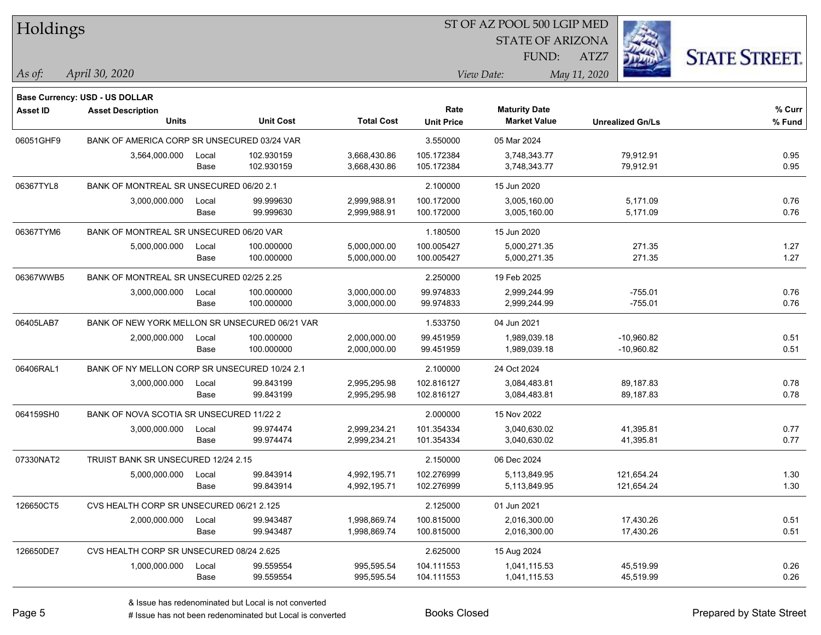| Holdings        |                                                |       |                  |                   | ST OF AZ POOL 500 LGIP MED |                         |                         |                      |  |  |
|-----------------|------------------------------------------------|-------|------------------|-------------------|----------------------------|-------------------------|-------------------------|----------------------|--|--|
|                 |                                                |       |                  |                   |                            | <b>STATE OF ARIZONA</b> |                         |                      |  |  |
|                 |                                                |       |                  |                   |                            | FUND:                   | ATZ7                    | <b>STATE STREET.</b> |  |  |
| As of:          | April 30, 2020                                 |       |                  |                   |                            | View Date:              | May 11, 2020            |                      |  |  |
|                 |                                                |       |                  |                   |                            |                         |                         |                      |  |  |
|                 | <b>Base Currency: USD - US DOLLAR</b>          |       |                  |                   | Rate                       | <b>Maturity Date</b>    |                         | % Curr               |  |  |
| <b>Asset ID</b> | <b>Asset Description</b><br><b>Units</b>       |       | <b>Unit Cost</b> | <b>Total Cost</b> | <b>Unit Price</b>          | <b>Market Value</b>     | <b>Unrealized Gn/Ls</b> | % Fund               |  |  |
| 06051GHF9       | BANK OF AMERICA CORP SR UNSECURED 03/24 VAR    |       |                  |                   | 3.550000                   | 05 Mar 2024             |                         |                      |  |  |
|                 | 3,564,000.000                                  | Local | 102.930159       | 3,668,430.86      | 105.172384                 | 3,748,343.77            | 79,912.91               | 0.95                 |  |  |
|                 |                                                | Base  | 102.930159       | 3,668,430.86      | 105.172384                 | 3,748,343.77            | 79,912.91               | 0.95                 |  |  |
| 06367TYL8       | BANK OF MONTREAL SR UNSECURED 06/20 2.1        |       |                  |                   | 2.100000                   | 15 Jun 2020             |                         |                      |  |  |
|                 | 3,000,000.000                                  | Local | 99.999630        | 2,999,988.91      | 100.172000                 | 3,005,160.00            | 5,171.09                | 0.76                 |  |  |
|                 |                                                | Base  | 99.999630        | 2,999,988.91      | 100.172000                 | 3,005,160.00            | 5,171.09                | 0.76                 |  |  |
| 06367TYM6       | BANK OF MONTREAL SR UNSECURED 06/20 VAR        |       |                  |                   | 1.180500                   | 15 Jun 2020             |                         |                      |  |  |
|                 | 5,000,000.000                                  | Local | 100.000000       | 5,000,000.00      | 100.005427                 | 5,000,271.35            | 271.35                  | 1.27                 |  |  |
|                 |                                                | Base  | 100.000000       | 5,000,000.00      | 100.005427                 | 5,000,271.35            | 271.35                  | 1.27                 |  |  |
| 06367WWB5       | BANK OF MONTREAL SR UNSECURED 02/25 2.25       |       |                  |                   | 2.250000                   | 19 Feb 2025             |                         |                      |  |  |
|                 | 3,000,000.000                                  | Local | 100.000000       | 3,000,000.00      | 99.974833                  | 2,999,244.99            | $-755.01$               | 0.76                 |  |  |
|                 |                                                | Base  | 100.000000       | 3,000,000.00      | 99.974833                  | 2,999,244.99            | $-755.01$               | 0.76                 |  |  |
| 06405LAB7       | BANK OF NEW YORK MELLON SR UNSECURED 06/21 VAR |       |                  |                   | 1.533750                   | 04 Jun 2021             |                         |                      |  |  |
|                 | 2,000,000.000                                  | Local | 100.000000       | 2,000,000.00      | 99.451959                  | 1,989,039.18            | $-10,960.82$            | 0.51                 |  |  |
|                 |                                                | Base  | 100.000000       | 2,000,000.00      | 99.451959                  | 1,989,039.18            | $-10,960.82$            | 0.51                 |  |  |
| 06406RAL1       | BANK OF NY MELLON CORP SR UNSECURED 10/24 2.1  |       |                  |                   | 2.100000                   | 24 Oct 2024             |                         |                      |  |  |
|                 | 3,000,000.000                                  | Local | 99.843199        | 2,995,295.98      | 102.816127                 | 3,084,483.81            | 89,187.83               | 0.78                 |  |  |
|                 |                                                | Base  | 99.843199        | 2,995,295.98      | 102.816127                 | 3,084,483.81            | 89,187.83               | 0.78                 |  |  |
| 064159SH0       | BANK OF NOVA SCOTIA SR UNSECURED 11/22 2       |       |                  |                   | 2.000000                   | 15 Nov 2022             |                         |                      |  |  |
|                 | 3,000,000.000                                  | Local | 99.974474        | 2,999,234.21      | 101.354334                 | 3,040,630.02            | 41,395.81               | 0.77                 |  |  |
|                 |                                                | Base  | 99.974474        | 2,999,234.21      | 101.354334                 | 3,040,630.02            | 41,395.81               | 0.77                 |  |  |
| 07330NAT2       | TRUIST BANK SR UNSECURED 12/24 2.15            |       |                  |                   | 2.150000                   | 06 Dec 2024             |                         |                      |  |  |
|                 | 5,000,000.000                                  | Local | 99.843914        | 4,992,195.71      | 102.276999                 | 5,113,849.95            | 121,654.24              | 1.30                 |  |  |
|                 |                                                | Base  | 99.843914        | 4,992,195.71      | 102.276999                 | 5,113,849.95            | 121,654.24              | 1.30                 |  |  |
| 126650CT5       | CVS HEALTH CORP SR UNSECURED 06/21 2.125       |       |                  |                   | 2.125000                   | 01 Jun 2021             |                         |                      |  |  |
|                 | 2,000,000.000                                  | Local | 99.943487        | 1,998,869.74      | 100.815000                 | 2,016,300.00            | 17,430.26               | 0.51                 |  |  |
|                 |                                                | Base  | 99.943487        | 1,998,869.74      | 100.815000                 | 2,016,300.00            | 17,430.26               | 0.51                 |  |  |
| 126650DE7       | CVS HEALTH CORP SR UNSECURED 08/24 2.625       |       |                  |                   | 2.625000                   | 15 Aug 2024             |                         |                      |  |  |
|                 | 1,000,000.000                                  | Local | 99.559554        | 995,595.54        | 104.111553                 | 1,041,115.53            | 45,519.99               | 0.26                 |  |  |
|                 |                                                | Base  | 99.559554        | 995,595.54        | 104.111553                 | 1,041,115.53            | 45,519.99               | 0.26                 |  |  |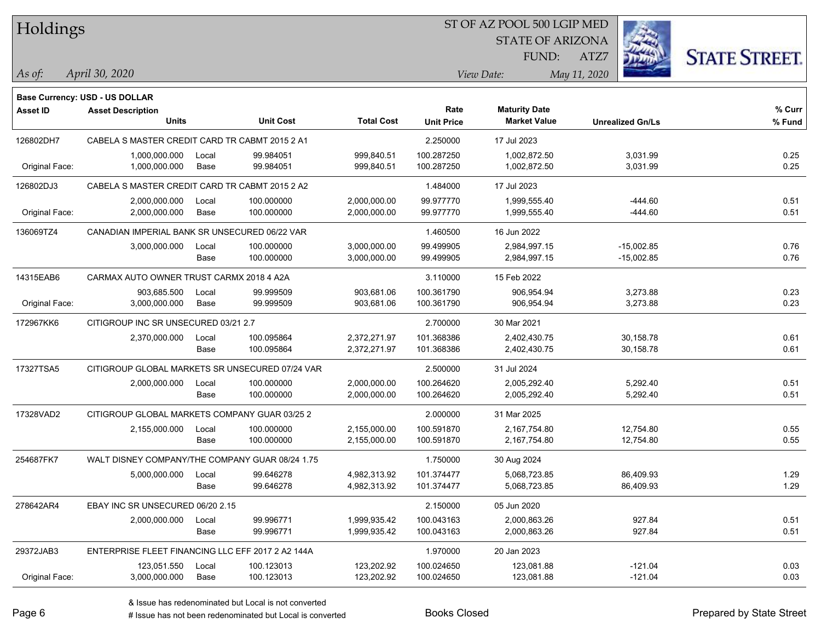| Holdings |
|----------|
|          |

STATE OF ARIZONA

ATZ7



*April 30, 2020 As of: View Date: May 11, 2020*

**Base Currency: USD - US DOLLAR**

FUND:

| <b>Asset ID</b> | <b>Asset Description</b>                          |       |                  | <b>Total Cost</b> | Rate              | <b>Maturity Date</b> |                         | % Curr |
|-----------------|---------------------------------------------------|-------|------------------|-------------------|-------------------|----------------------|-------------------------|--------|
|                 | <b>Units</b>                                      |       | <b>Unit Cost</b> |                   | <b>Unit Price</b> | <b>Market Value</b>  | <b>Unrealized Gn/Ls</b> | % Fund |
| 126802DH7       | CABELA S MASTER CREDIT CARD TR CABMT 2015 2 A1    |       |                  | 2.250000          | 17 Jul 2023       |                      |                         |        |
|                 | 1,000,000.000                                     | Local | 99.984051        | 999,840.51        | 100.287250        | 1,002,872.50         | 3,031.99                | 0.25   |
| Original Face:  | 1,000,000.000                                     | Base  | 99.984051        | 999,840.51        | 100.287250        | 1,002,872.50         | 3,031.99                | 0.25   |
| 126802DJ3       | CABELA S MASTER CREDIT CARD TR CABMT 2015 2 A2    |       |                  |                   | 1.484000          | 17 Jul 2023          |                         |        |
|                 | 2,000,000.000                                     | Local | 100.000000       | 2,000,000.00      | 99.977770         | 1,999,555.40         | $-444.60$               | 0.51   |
| Original Face:  | 2,000,000.000                                     | Base  | 100.000000       | 2,000,000.00      | 99.977770         | 1,999,555.40         | $-444.60$               | 0.51   |
| 136069TZ4       | CANADIAN IMPERIAL BANK SR UNSECURED 06/22 VAR     |       |                  |                   | 1.460500          | 16 Jun 2022          |                         |        |
|                 | 3,000,000.000                                     | Local | 100.000000       | 3,000,000.00      | 99.499905         | 2,984,997.15         | $-15,002.85$            | 0.76   |
|                 |                                                   | Base  | 100.000000       | 3,000,000.00      | 99.499905         | 2,984,997.15         | $-15,002.85$            | 0.76   |
| 14315EAB6       | CARMAX AUTO OWNER TRUST CARMX 2018 4 A2A          |       |                  | 3.110000          | 15 Feb 2022       |                      |                         |        |
|                 | 903,685.500                                       | Local | 99.999509        | 903,681.06        | 100.361790        | 906,954.94           | 3,273.88                | 0.23   |
| Original Face:  | 3,000,000.000                                     | Base  | 99.999509        | 903,681.06        | 100.361790        | 906,954.94           | 3,273.88                | 0.23   |
| 172967KK6       | CITIGROUP INC SR UNSECURED 03/21 2.7              |       |                  |                   | 2.700000          | 30 Mar 2021          |                         |        |
|                 | 2,370,000.000                                     | Local | 100.095864       | 2,372,271.97      | 101.368386        | 2,402,430.75         | 30,158.78               | 0.61   |
|                 |                                                   | Base  | 100.095864       | 2,372,271.97      | 101.368386        | 2,402,430.75         | 30,158.78               | 0.61   |
| 17327TSA5       | CITIGROUP GLOBAL MARKETS SR UNSECURED 07/24 VAR   |       |                  |                   | 2.500000          | 31 Jul 2024          |                         |        |
|                 | 2,000,000.000                                     | Local | 100.000000       | 2,000,000.00      | 100.264620        | 2,005,292.40         | 5,292.40                | 0.51   |
|                 |                                                   | Base  | 100.000000       | 2,000,000.00      | 100.264620        | 2,005,292.40         | 5,292.40                | 0.51   |
| 17328VAD2       | CITIGROUP GLOBAL MARKETS COMPANY GUAR 03/25 2     |       |                  |                   | 2.000000          | 31 Mar 2025          |                         |        |
|                 | 2,155,000.000                                     | Local | 100.000000       | 2,155,000.00      | 100.591870        | 2,167,754.80         | 12,754.80               | 0.55   |
|                 |                                                   | Base  | 100.000000       | 2,155,000.00      | 100.591870        | 2,167,754.80         | 12,754.80               | 0.55   |
| 254687FK7       | WALT DISNEY COMPANY/THE COMPANY GUAR 08/24 1.75   |       |                  |                   | 1.750000          | 30 Aug 2024          |                         |        |
|                 | 5,000,000.000                                     | Local | 99.646278        | 4,982,313.92      | 101.374477        | 5,068,723.85         | 86,409.93               | 1.29   |
|                 |                                                   | Base  | 99.646278        | 4,982,313.92      | 101.374477        | 5,068,723.85         | 86,409.93               | 1.29   |
| 278642AR4       | EBAY INC SR UNSECURED 06/20 2.15                  |       |                  |                   | 2.150000          | 05 Jun 2020          |                         |        |
|                 | 2,000,000.000                                     | Local | 99.996771        | 1,999,935.42      | 100.043163        | 2,000,863.26         | 927.84                  | 0.51   |
|                 |                                                   | Base  | 99.996771        | 1,999,935.42      | 100.043163        | 2,000,863.26         | 927.84                  | 0.51   |
| 29372JAB3       | ENTERPRISE FLEET FINANCING LLC EFF 2017 2 A2 144A |       |                  |                   | 1.970000          | 20 Jan 2023          |                         |        |
|                 | 123,051.550                                       | Local | 100.123013       | 123,202.92        | 100.024650        | 123,081.88           | $-121.04$               | 0.03   |
| Original Face:  | 3,000,000.000                                     | Base  | 100.123013       | 123,202.92        | 100.024650        | 123,081.88           | $-121.04$               | 0.03   |

A ISSUE ISSUE ISSUE ISSUE ISSUE ISSUE ISSUE ISSUE ISSUE ISSUE ISSUE ISSUE ISSUE ISSUE ISSUE ISSUE ISSUE ISSUE I<br>
# Issue has not been redenominated but Local is converted **BOOKS** Closed **Prepared by State Street**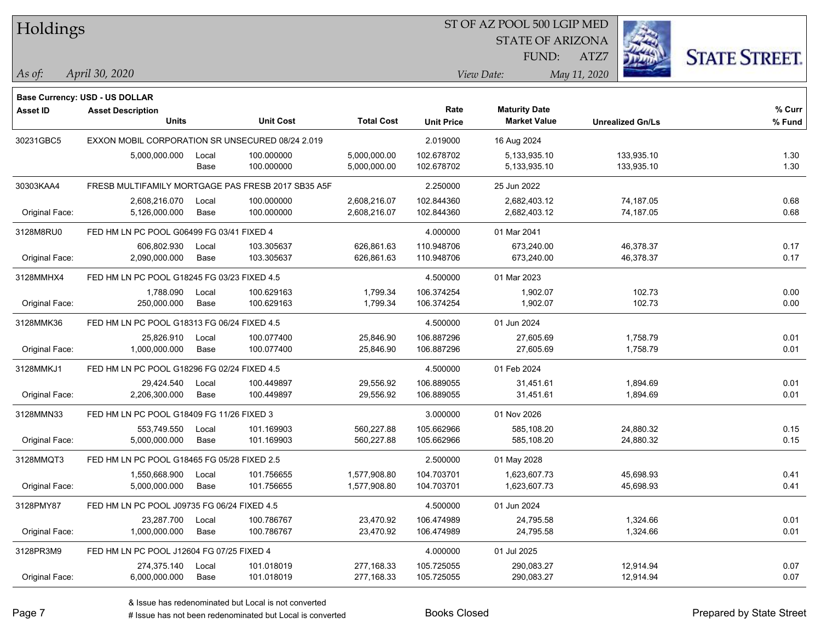Holdings

#### ST OF AZ POOL 500 LGIP MED

STATE OF ARIZONA FUND:



*April 30, 2020 As of: View Date: May 11, 2020*

ATZ7

|                 | Base Currency: USD - US DOLLAR                     |       |                  |                   |                   |                      |                         |        |
|-----------------|----------------------------------------------------|-------|------------------|-------------------|-------------------|----------------------|-------------------------|--------|
| <b>Asset ID</b> | <b>Asset Description</b>                           |       |                  |                   | Rate              | <b>Maturity Date</b> |                         | % Curr |
|                 | <b>Units</b>                                       |       | <b>Unit Cost</b> | <b>Total Cost</b> | <b>Unit Price</b> | <b>Market Value</b>  | <b>Unrealized Gn/Ls</b> | % Fund |
| 30231GBC5       | EXXON MOBIL CORPORATION SR UNSECURED 08/24 2.019   |       |                  |                   | 2.019000          | 16 Aug 2024          |                         |        |
|                 | 5,000,000.000                                      | Local | 100.000000       | 5,000,000.00      | 102.678702        | 5,133,935.10         | 133,935.10              | 1.30   |
|                 |                                                    | Base  | 100.000000       | 5,000,000.00      | 102.678702        | 5,133,935.10         | 133,935.10              | 1.30   |
| 30303KAA4       | FRESB MULTIFAMILY MORTGAGE PAS FRESB 2017 SB35 A5F |       |                  | 2.250000          | 25 Jun 2022       |                      |                         |        |
|                 | 2,608,216.070                                      | Local | 100.000000       | 2,608,216.07      | 102.844360        | 2,682,403.12         | 74,187.05               | 0.68   |
| Original Face:  | 5,126,000.000                                      | Base  | 100.000000       | 2,608,216.07      | 102.844360        | 2,682,403.12         | 74,187.05               | 0.68   |
| 3128M8RU0       | FED HM LN PC POOL G06499 FG 03/41 FIXED 4          |       |                  |                   | 4.000000          | 01 Mar 2041          |                         |        |
|                 | 606,802.930                                        | Local | 103.305637       | 626,861.63        | 110.948706        | 673,240.00           | 46,378.37               | 0.17   |
| Original Face:  | 2,090,000.000                                      | Base  | 103.305637       | 626,861.63        | 110.948706        | 673,240.00           | 46,378.37               | 0.17   |
| 3128MMHX4       | FED HM LN PC POOL G18245 FG 03/23 FIXED 4.5        |       |                  | 4.500000          | 01 Mar 2023       |                      |                         |        |
|                 | 1,788.090                                          | Local | 100.629163       | 1,799.34          | 106.374254        | 1,902.07             | 102.73                  | 0.00   |
| Original Face:  | 250,000.000                                        | Base  | 100.629163       | 1,799.34          | 106.374254        | 1,902.07             | 102.73                  | 0.00   |
| 3128MMK36       | FED HM LN PC POOL G18313 FG 06/24 FIXED 4.5        |       |                  |                   | 4.500000          | 01 Jun 2024          |                         |        |
|                 | 25,826.910                                         | Local | 100.077400       | 25,846.90         | 106.887296        | 27,605.69            | 1,758.79                | 0.01   |
| Original Face:  | 1,000,000.000                                      | Base  | 100.077400       | 25,846.90         | 106.887296        | 27,605.69            | 1,758.79                | 0.01   |
| 3128MMKJ1       | FED HM LN PC POOL G18296 FG 02/24 FIXED 4.5        |       |                  |                   | 4.500000          | 01 Feb 2024          |                         |        |
|                 | 29,424.540                                         | Local | 100.449897       | 29,556.92         | 106.889055        | 31,451.61            | 1,894.69                | 0.01   |
| Original Face:  | 2,206,300.000                                      | Base  | 100.449897       | 29,556.92         | 106.889055        | 31,451.61            | 1,894.69                | 0.01   |
| 3128MMN33       | FED HM LN PC POOL G18409 FG 11/26 FIXED 3          |       |                  |                   | 3.000000          | 01 Nov 2026          |                         |        |
|                 | 553,749.550                                        | Local | 101.169903       | 560,227.88        | 105.662966        | 585,108.20           | 24,880.32               | 0.15   |
| Original Face:  | 5,000,000.000                                      | Base  | 101.169903       | 560,227.88        | 105.662966        | 585,108.20           | 24,880.32               | 0.15   |
| 3128MMQT3       | FED HM LN PC POOL G18465 FG 05/28 FIXED 2.5        |       |                  |                   | 2.500000          | 01 May 2028          |                         |        |
|                 | 1,550,668.900                                      | Local | 101.756655       | 1,577,908.80      | 104.703701        | 1,623,607.73         | 45,698.93               | 0.41   |
| Original Face:  | 5,000,000.000                                      | Base  | 101.756655       | 1,577,908.80      | 104.703701        | 1,623,607.73         | 45,698.93               | 0.41   |
| 3128PMY87       | FED HM LN PC POOL J09735 FG 06/24 FIXED 4.5        |       |                  |                   | 4.500000          | 01 Jun 2024          |                         |        |
|                 | 23,287.700                                         | Local | 100.786767       | 23,470.92         | 106.474989        | 24,795.58            | 1,324.66                | 0.01   |
| Original Face:  | 1,000,000.000                                      | Base  | 100.786767       | 23,470.92         | 106.474989        | 24,795.58            | 1,324.66                | 0.01   |
| 3128PR3M9       | FED HM LN PC POOL J12604 FG 07/25 FIXED 4          |       |                  |                   | 4.000000          | 01 Jul 2025          |                         |        |
|                 | 274,375.140                                        | Local | 101.018019       | 277,168.33        | 105.725055        | 290,083.27           | 12,914.94               | 0.07   |
| Original Face:  | 6,000,000.000                                      | Base  | 101.018019       | 277,168.33        | 105.725055        | 290,083.27           | 12,914.94               | 0.07   |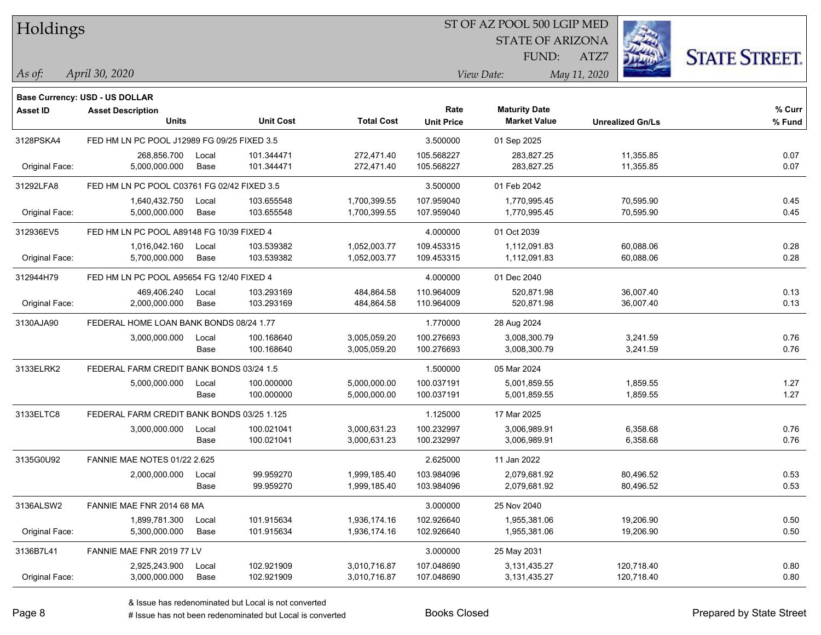| Holdings |  |
|----------|--|
|----------|--|

STATE OF ARIZONA

ATZ7



*April 30, 2020 As of: View Date: May 11, 2020*

FUND:

|                 | <b>Base Currency: USD - US DOLLAR</b>       |       |                  |                   |                   |                      |                         |        |
|-----------------|---------------------------------------------|-------|------------------|-------------------|-------------------|----------------------|-------------------------|--------|
| <b>Asset ID</b> | <b>Asset Description</b>                    |       |                  |                   | Rate              | <b>Maturity Date</b> |                         | % Curr |
|                 | <b>Units</b>                                |       | <b>Unit Cost</b> | <b>Total Cost</b> | <b>Unit Price</b> | <b>Market Value</b>  | <b>Unrealized Gn/Ls</b> | % Fund |
| 3128PSKA4       | FED HM LN PC POOL J12989 FG 09/25 FIXED 3.5 |       |                  |                   | 3.500000          | 01 Sep 2025          |                         |        |
|                 | 268,856.700                                 | Local | 101.344471       | 272,471.40        | 105.568227        | 283,827.25           | 11,355.85               | 0.07   |
| Original Face:  | 5,000,000.000                               | Base  | 101.344471       | 272,471.40        | 105.568227        | 283,827.25           | 11,355.85               | 0.07   |
| 31292LFA8       | FED HM LN PC POOL C03761 FG 02/42 FIXED 3.5 |       |                  |                   | 3.500000          | 01 Feb 2042          |                         |        |
|                 | 1,640,432.750                               | Local | 103.655548       | 1,700,399.55      | 107.959040        | 1,770,995.45         | 70,595.90               | 0.45   |
| Original Face:  | 5,000,000.000                               | Base  | 103.655548       | 1,700,399.55      | 107.959040        | 1,770,995.45         | 70,595.90               | 0.45   |
| 312936EV5       | FED HM LN PC POOL A89148 FG 10/39 FIXED 4   |       |                  |                   | 4.000000          | 01 Oct 2039          |                         |        |
|                 | 1,016,042.160                               | Local | 103.539382       | 1,052,003.77      | 109.453315        | 1,112,091.83         | 60,088.06               | 0.28   |
| Original Face:  | 5,700,000.000                               | Base  | 103.539382       | 1,052,003.77      | 109.453315        | 1,112,091.83         | 60,088.06               | 0.28   |
| 312944H79       | FED HM LN PC POOL A95654 FG 12/40 FIXED 4   |       |                  |                   | 4.000000          | 01 Dec 2040          |                         |        |
|                 | 469,406.240                                 | Local | 103.293169       | 484,864.58        | 110.964009        | 520,871.98           | 36,007.40               | 0.13   |
| Original Face:  | 2,000,000.000                               | Base  | 103.293169       | 484,864.58        | 110.964009        | 520,871.98           | 36,007.40               | 0.13   |
| 3130AJA90       | FEDERAL HOME LOAN BANK BONDS 08/24 1.77     |       |                  |                   | 1.770000          | 28 Aug 2024          |                         |        |
|                 | 3,000,000.000                               | Local | 100.168640       | 3,005,059.20      | 100.276693        | 3,008,300.79         | 3,241.59                | 0.76   |
|                 |                                             | Base  | 100.168640       | 3,005,059.20      | 100.276693        | 3,008,300.79         | 3,241.59                | 0.76   |
| 3133ELRK2       | FEDERAL FARM CREDIT BANK BONDS 03/24 1.5    |       |                  |                   | 1.500000          | 05 Mar 2024          |                         |        |
|                 | 5,000,000.000                               | Local | 100.000000       | 5,000,000.00      | 100.037191        | 5,001,859.55         | 1,859.55                | 1.27   |
|                 |                                             | Base  | 100.000000       | 5,000,000.00      | 100.037191        | 5,001,859.55         | 1,859.55                | 1.27   |
| 3133ELTC8       | FEDERAL FARM CREDIT BANK BONDS 03/25 1.125  |       |                  |                   | 1.125000          | 17 Mar 2025          |                         |        |
|                 | 3,000,000.000                               | Local | 100.021041       | 3,000,631.23      | 100.232997        | 3,006,989.91         | 6,358.68                | 0.76   |
|                 |                                             | Base  | 100.021041       | 3,000,631.23      | 100.232997        | 3,006,989.91         | 6,358.68                | 0.76   |
| 3135G0U92       | <b>FANNIE MAE NOTES 01/22 2.625</b>         |       |                  |                   | 2.625000          | 11 Jan 2022          |                         |        |
|                 | 2,000,000.000                               | Local | 99.959270        | 1,999,185.40      | 103.984096        | 2,079,681.92         | 80,496.52               | 0.53   |
|                 |                                             | Base  | 99.959270        | 1,999,185.40      | 103.984096        | 2,079,681.92         | 80,496.52               | 0.53   |
| 3136ALSW2       | FANNIE MAE FNR 2014 68 MA                   |       |                  |                   | 3.000000          | 25 Nov 2040          |                         |        |
|                 | 1,899,781.300                               | Local | 101.915634       | 1,936,174.16      | 102.926640        | 1,955,381.06         | 19,206.90               | 0.50   |
| Original Face:  | 5,300,000.000                               | Base  | 101.915634       | 1,936,174.16      | 102.926640        | 1,955,381.06         | 19,206.90               | 0.50   |
| 3136B7L41       | FANNIE MAE FNR 2019 77 LV                   |       |                  |                   | 3.000000          | 25 May 2031          |                         |        |
|                 | 2,925,243.900                               | Local | 102.921909       | 3,010,716.87      | 107.048690        | 3,131,435.27         | 120,718.40              | 0.80   |
| Original Face:  | 3,000,000.000                               | Base  | 102.921909       | 3,010,716.87      | 107.048690        | 3,131,435.27         | 120,718.40              | 0.80   |

A ISSUE ISSUE ISSUE ISSUE ISSUE ISSUE ISSUE ISSUE ISSUE ISSUE ISSUE ISSUE ISSUE ISSUE ISSUE ISSUE ISSUE ISSUE I<br>
# Issue has not been redenominated but Local is converted **BOOKS** Closed **Prepared by State Street**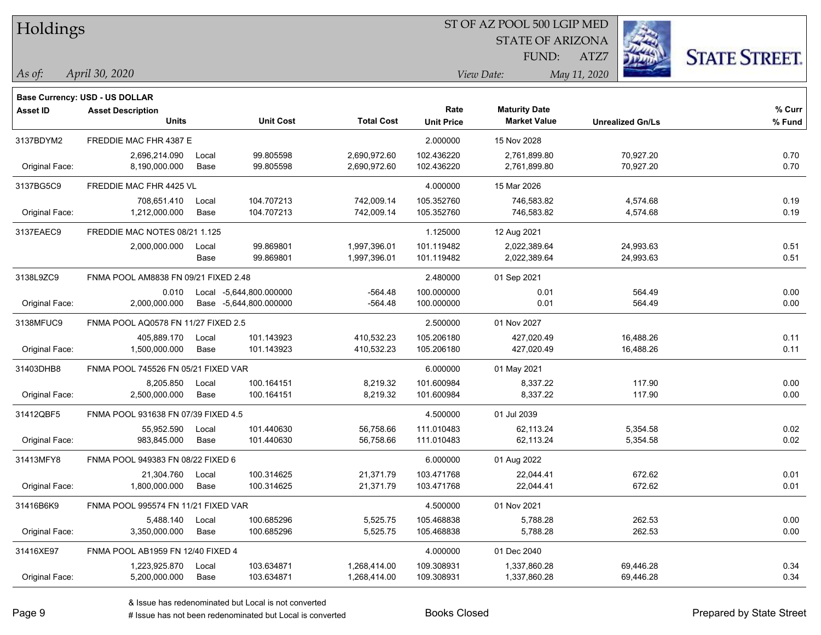| Holdings        |                                       |       |                         |                   | ST OF AZ POOL 500 LGIP MED |                         |                         |                      |  |  |
|-----------------|---------------------------------------|-------|-------------------------|-------------------|----------------------------|-------------------------|-------------------------|----------------------|--|--|
|                 |                                       |       |                         |                   |                            | <b>STATE OF ARIZONA</b> |                         |                      |  |  |
|                 |                                       |       |                         |                   |                            | FUND:                   | ATZ7                    | <b>STATE STREET.</b> |  |  |
| $\vert$ As of:  | April 30, 2020                        |       |                         |                   |                            | View Date:              | May 11, 2020            |                      |  |  |
|                 | <b>Base Currency: USD - US DOLLAR</b> |       |                         |                   |                            |                         |                         |                      |  |  |
| <b>Asset ID</b> | <b>Asset Description</b>              |       |                         |                   | Rate                       | <b>Maturity Date</b>    |                         | % Curr               |  |  |
|                 | <b>Units</b>                          |       | <b>Unit Cost</b>        | <b>Total Cost</b> | <b>Unit Price</b>          | <b>Market Value</b>     | <b>Unrealized Gn/Ls</b> | % Fund               |  |  |
| 3137BDYM2       | FREDDIE MAC FHR 4387 E                |       |                         |                   | 2.000000                   | 15 Nov 2028             |                         |                      |  |  |
|                 | 2,696,214.090                         | Local | 99.805598               | 2,690,972.60      | 102.436220                 | 2,761,899.80            | 70,927.20               | 0.70                 |  |  |
| Original Face:  | 8,190,000.000                         | Base  | 99.805598               | 2,690,972.60      | 102.436220                 | 2,761,899.80            | 70,927.20               | 0.70                 |  |  |
| 3137BG5C9       | FREDDIE MAC FHR 4425 VL               |       |                         |                   | 4.000000                   | 15 Mar 2026             |                         |                      |  |  |
|                 | 708,651.410                           | Local | 104.707213              | 742,009.14        | 105.352760                 | 746,583.82              | 4,574.68                | 0.19                 |  |  |
| Original Face:  | 1,212,000.000                         | Base  | 104.707213              | 742,009.14        | 105.352760                 | 746,583.82              | 4,574.68                | 0.19                 |  |  |
| 3137EAEC9       | FREDDIE MAC NOTES 08/21 1.125         |       |                         |                   | 1.125000                   | 12 Aug 2021             |                         |                      |  |  |
|                 | 2,000,000.000                         | Local | 99.869801               | 1,997,396.01      | 101.119482                 | 2,022,389.64            | 24,993.63               | 0.51                 |  |  |
|                 |                                       | Base  | 99.869801               | 1,997,396.01      | 101.119482                 | 2,022,389.64            | 24,993.63               | 0.51                 |  |  |
| 3138L9ZC9       | FNMA POOL AM8838 FN 09/21 FIXED 2.48  |       |                         |                   | 2.480000                   | 01 Sep 2021             |                         |                      |  |  |
|                 | 0.010                                 |       | Local -5,644,800.000000 | $-564.48$         | 100.000000                 | 0.01                    | 564.49                  | 0.00                 |  |  |
| Original Face:  | 2,000,000.000                         |       | Base -5,644,800.000000  | $-564.48$         | 100.000000                 | 0.01                    | 564.49                  | 0.00                 |  |  |
| 3138MFUC9       | FNMA POOL AQ0578 FN 11/27 FIXED 2.5   |       |                         |                   | 2.500000                   | 01 Nov 2027             |                         |                      |  |  |
|                 | 405,889.170                           | Local | 101.143923              | 410,532.23        | 105.206180                 | 427,020.49              | 16,488.26               | 0.11                 |  |  |
| Original Face:  | 1,500,000.000                         | Base  | 101.143923              | 410,532.23        | 105.206180                 | 427,020.49              | 16,488.26               | 0.11                 |  |  |
| 31403DHB8       | FNMA POOL 745526 FN 05/21 FIXED VAR   |       |                         |                   | 6.000000                   | 01 May 2021             |                         |                      |  |  |
|                 | 8,205.850                             | Local | 100.164151              | 8,219.32          | 101.600984                 | 8,337.22                | 117.90                  | 0.00                 |  |  |
| Original Face:  | 2,500,000.000                         | Base  | 100.164151              | 8,219.32          | 101.600984                 | 8,337.22                | 117.90                  | 0.00                 |  |  |
| 31412QBF5       | FNMA POOL 931638 FN 07/39 FIXED 4.5   |       |                         |                   | 4.500000                   | 01 Jul 2039             |                         |                      |  |  |
|                 | 55,952.590                            | Local | 101.440630              | 56,758.66         | 111.010483                 | 62,113.24               | 5,354.58                | 0.02                 |  |  |
| Original Face:  | 983,845.000                           | Base  | 101.440630              | 56,758.66         | 111.010483                 | 62,113.24               | 5,354.58                | 0.02                 |  |  |
| 31413MFY8       | FNMA POOL 949383 FN 08/22 FIXED 6     |       |                         |                   | 6.000000                   | 01 Aug 2022             |                         |                      |  |  |
|                 | 21,304.760                            | Local | 100.314625              | 21,371.79         | 103.471768                 | 22,044.41               | 672.62                  | 0.01                 |  |  |
| Original Face:  | 1,800,000.000                         | Base  | 100.314625              | 21,371.79         | 103.471768                 | 22,044.41               | 672.62                  | 0.01                 |  |  |
| 31416B6K9       | FNMA POOL 995574 FN 11/21 FIXED VAR   |       |                         |                   | 4.500000                   | 01 Nov 2021             |                         |                      |  |  |
|                 | 5,488.140                             | Local | 100.685296              | 5,525.75          | 105.468838                 | 5,788.28                | 262.53                  | 0.00                 |  |  |
| Original Face:  | 3,350,000.000                         | Base  | 100.685296              | 5,525.75          | 105.468838                 | 5,788.28                | 262.53                  | 0.00                 |  |  |
| 31416XE97       | FNMA POOL AB1959 FN 12/40 FIXED 4     |       |                         |                   | 4.000000                   | 01 Dec 2040             |                         |                      |  |  |
|                 | 1,223,925.870                         | Local | 103.634871              | 1,268,414.00      | 109.308931                 | 1,337,860.28            | 69,446.28               | 0.34                 |  |  |
| Original Face:  | 5,200,000.000                         | Base  | 103.634871              | 1,268,414.00      | 109.308931                 | 1,337,860.28            | 69,446.28               | 0.34                 |  |  |

denote the redenominated but Local is converted Books Closed Prepared by State Street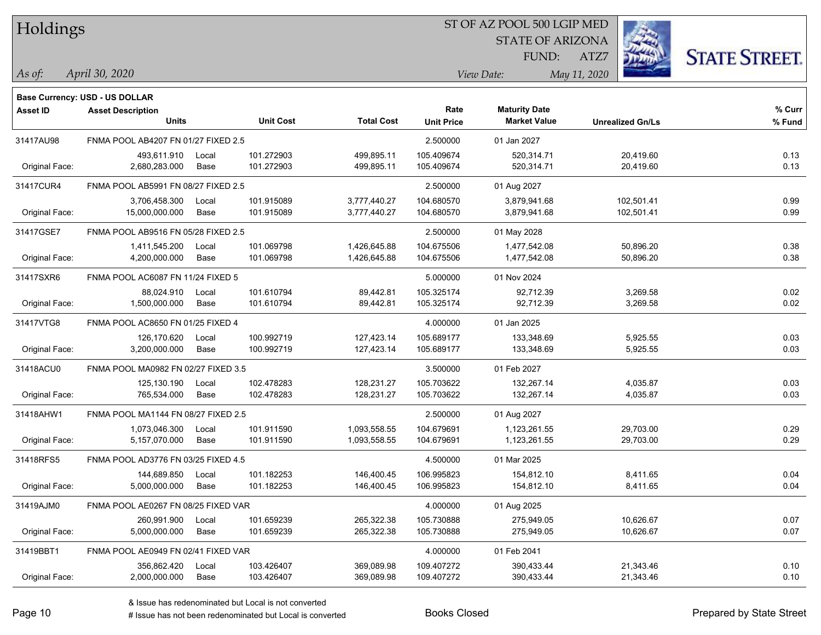| Holdings |
|----------|
|          |

STATE OF ARIZONA FUND:



*April 30, 2020 As of: View Date: May 11, 2020*

**Base Currency: USD - US DOLLAR**

ATZ7

| Asset ID       | <b>Asset Description</b>            |       |                  |                   | Rate              | <b>Maturity Date</b> |                         | % Curr |
|----------------|-------------------------------------|-------|------------------|-------------------|-------------------|----------------------|-------------------------|--------|
|                | Units                               |       | <b>Unit Cost</b> | <b>Total Cost</b> | <b>Unit Price</b> | <b>Market Value</b>  | <b>Unrealized Gn/Ls</b> | % Fund |
| 31417AU98      | FNMA POOL AB4207 FN 01/27 FIXED 2.5 |       |                  |                   | 2.500000          | 01 Jan 2027          |                         |        |
|                | 493,611.910                         | Local | 101.272903       | 499,895.11        | 105.409674        | 520,314.71           | 20,419.60               | 0.13   |
| Original Face: | 2,680,283.000                       | Base  | 101.272903       | 499,895.11        | 105.409674        | 520,314.71           | 20,419.60               | 0.13   |
| 31417CUR4      | FNMA POOL AB5991 FN 08/27 FIXED 2.5 |       |                  |                   | 2.500000          | 01 Aug 2027          |                         |        |
|                | 3,706,458.300                       | Local | 101.915089       | 3,777,440.27      | 104.680570        | 3,879,941.68         | 102,501.41              | 0.99   |
| Original Face: | 15,000,000.000                      | Base  | 101.915089       | 3,777,440.27      | 104.680570        | 3,879,941.68         | 102,501.41              | 0.99   |
| 31417GSE7      | FNMA POOL AB9516 FN 05/28 FIXED 2.5 |       |                  |                   | 2.500000          | 01 May 2028          |                         |        |
|                | 1,411,545.200                       | Local | 101.069798       | 1,426,645.88      | 104.675506        | 1,477,542.08         | 50,896.20               | 0.38   |
| Original Face: | 4,200,000.000                       | Base  | 101.069798       | 1,426,645.88      | 104.675506        | 1,477,542.08         | 50,896.20               | 0.38   |
| 31417SXR6      | FNMA POOL AC6087 FN 11/24 FIXED 5   |       |                  |                   | 5.000000          | 01 Nov 2024          |                         |        |
|                | 88,024.910                          | Local | 101.610794       | 89,442.81         | 105.325174        | 92,712.39            | 3,269.58                | 0.02   |
| Original Face: | 1,500,000.000                       | Base  | 101.610794       | 89,442.81         | 105.325174        | 92,712.39            | 3,269.58                | 0.02   |
| 31417VTG8      | FNMA POOL AC8650 FN 01/25 FIXED 4   |       |                  |                   | 4.000000          | 01 Jan 2025          |                         |        |
|                | 126,170.620                         | Local | 100.992719       | 127,423.14        | 105.689177        | 133,348.69           | 5,925.55                | 0.03   |
| Original Face: | 3,200,000.000                       | Base  | 100.992719       | 127,423.14        | 105.689177        | 133,348.69           | 5,925.55                | 0.03   |
| 31418ACU0      | FNMA POOL MA0982 FN 02/27 FIXED 3.5 |       |                  |                   | 3.500000          | 01 Feb 2027          |                         |        |
|                | 125,130.190                         | Local | 102.478283       | 128,231.27        | 105.703622        | 132,267.14           | 4,035.87                | 0.03   |
| Original Face: | 765,534.000                         | Base  | 102.478283       | 128,231.27        | 105.703622        | 132,267.14           | 4,035.87                | 0.03   |
| 31418AHW1      | FNMA POOL MA1144 FN 08/27 FIXED 2.5 |       |                  |                   | 2.500000          | 01 Aug 2027          |                         |        |
|                | 1,073,046.300                       | Local | 101.911590       | 1,093,558.55      | 104.679691        | 1,123,261.55         | 29,703.00               | 0.29   |
| Original Face: | 5,157,070.000                       | Base  | 101.911590       | 1,093,558.55      | 104.679691        | 1,123,261.55         | 29,703.00               | 0.29   |
| 31418RFS5      | FNMA POOL AD3776 FN 03/25 FIXED 4.5 |       |                  |                   | 4.500000          | 01 Mar 2025          |                         |        |
|                | 144,689.850                         | Local | 101.182253       | 146,400.45        | 106.995823        | 154,812.10           | 8,411.65                | 0.04   |
| Original Face: | 5,000,000.000                       | Base  | 101.182253       | 146,400.45        | 106.995823        | 154,812.10           | 8,411.65                | 0.04   |
| 31419AJM0      | FNMA POOL AE0267 FN 08/25 FIXED VAR |       |                  |                   | 4.000000          | 01 Aug 2025          |                         |        |
|                | 260,991.900                         | Local | 101.659239       | 265,322.38        | 105.730888        | 275,949.05           | 10,626.67               | 0.07   |
| Original Face: | 5,000,000.000                       | Base  | 101.659239       | 265,322.38        | 105.730888        | 275,949.05           | 10,626.67               | 0.07   |
| 31419BBT1      | FNMA POOL AE0949 FN 02/41 FIXED VAR |       |                  |                   | 4.000000          | 01 Feb 2041          |                         |        |
|                | 356,862.420                         | Local | 103.426407       | 369,089.98        | 109.407272        | 390,433.44           | 21,343.46               | 0.10   |
| Original Face: | 2,000,000.000                       | Base  | 103.426407       | 369,089.98        | 109.407272        | 390,433.44           | 21,343.46               | 0.10   |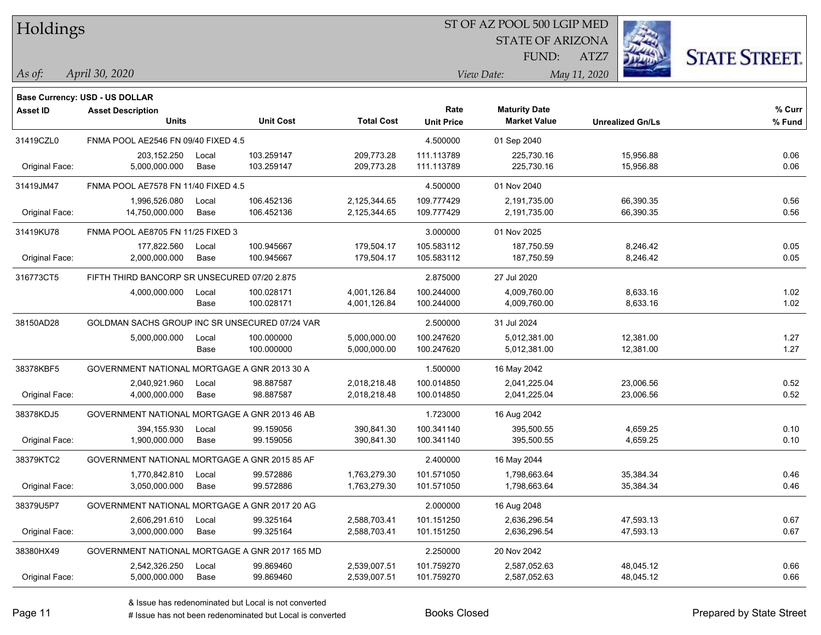| Holdings |  |
|----------|--|
|----------|--|

STATE OF ARIZONA

ATZ7



*April 30, 2020 As of: View Date: May 11, 2020*

**Base Currency: USD - US DOLLAR**

FUND:

| <b>Asset ID</b> | <b>Asset Description</b>                       |       |                  |                   | Rate              | <b>Maturity Date</b> |                         | % Curr |
|-----------------|------------------------------------------------|-------|------------------|-------------------|-------------------|----------------------|-------------------------|--------|
|                 | <b>Units</b>                                   |       | <b>Unit Cost</b> | <b>Total Cost</b> | <b>Unit Price</b> | <b>Market Value</b>  | <b>Unrealized Gn/Ls</b> | % Fund |
| 31419CZL0       | FNMA POOL AE2546 FN 09/40 FIXED 4.5            |       |                  |                   | 4.500000          | 01 Sep 2040          |                         |        |
|                 | 203,152.250                                    | Local | 103.259147       | 209,773.28        | 111.113789        | 225,730.16           | 15,956.88               | 0.06   |
| Original Face:  | 5,000,000.000                                  | Base  | 103.259147       | 209,773.28        | 111.113789        | 225,730.16           | 15,956.88               | 0.06   |
| 31419JM47       | FNMA POOL AE7578 FN 11/40 FIXED 4.5            |       |                  |                   | 4.500000          | 01 Nov 2040          |                         |        |
|                 | 1,996,526.080                                  | Local | 106.452136       | 2,125,344.65      | 109.777429        | 2,191,735.00         | 66,390.35               | 0.56   |
| Original Face:  | 14,750,000.000                                 | Base  | 106.452136       | 2,125,344.65      | 109.777429        | 2,191,735.00         | 66,390.35               | 0.56   |
| 31419KU78       | FNMA POOL AE8705 FN 11/25 FIXED 3              |       |                  |                   | 3.000000          | 01 Nov 2025          |                         |        |
|                 | 177,822.560                                    | Local | 100.945667       | 179,504.17        | 105.583112        | 187,750.59           | 8,246.42                | 0.05   |
| Original Face:  | 2,000,000.000                                  | Base  | 100.945667       | 179,504.17        | 105.583112        | 187,750.59           | 8,246.42                | 0.05   |
| 316773CT5       | FIFTH THIRD BANCORP SR UNSECURED 07/20 2.875   |       |                  |                   | 2.875000          | 27 Jul 2020          |                         |        |
|                 | 4,000,000.000                                  | Local | 100.028171       | 4,001,126.84      | 100.244000        | 4,009,760.00         | 8,633.16                | 1.02   |
|                 |                                                | Base  | 100.028171       | 4,001,126.84      | 100.244000        | 4,009,760.00         | 8,633.16                | 1.02   |
| 38150AD28       | GOLDMAN SACHS GROUP INC SR UNSECURED 07/24 VAR |       |                  |                   | 2.500000          | 31 Jul 2024          |                         |        |
|                 | 5,000,000.000                                  | Local | 100.000000       | 5,000,000.00      | 100.247620        | 5,012,381.00         | 12,381.00               | 1.27   |
|                 |                                                | Base  | 100.000000       | 5,000,000.00      | 100.247620        | 5,012,381.00         | 12,381.00               | 1.27   |
| 38378KBF5       | GOVERNMENT NATIONAL MORTGAGE A GNR 2013 30 A   |       |                  |                   | 1.500000          | 16 May 2042          |                         |        |
|                 | 2,040,921.960                                  | Local | 98.887587        | 2,018,218.48      | 100.014850        | 2,041,225.04         | 23,006.56               | 0.52   |
| Original Face:  | 4,000,000.000                                  | Base  | 98.887587        | 2,018,218.48      | 100.014850        | 2,041,225.04         | 23,006.56               | 0.52   |
| 38378KDJ5       | GOVERNMENT NATIONAL MORTGAGE A GNR 2013 46 AB  |       |                  |                   | 1.723000          | 16 Aug 2042          |                         |        |
|                 | 394,155.930                                    | Local | 99.159056        | 390,841.30        | 100.341140        | 395,500.55           | 4,659.25                | 0.10   |
| Original Face:  | 1,900,000.000                                  | Base  | 99.159056        | 390,841.30        | 100.341140        | 395,500.55           | 4,659.25                | 0.10   |
| 38379KTC2       | GOVERNMENT NATIONAL MORTGAGE A GNR 2015 85 AF  |       |                  |                   | 2.400000          | 16 May 2044          |                         |        |
|                 | 1,770,842.810                                  | Local | 99.572886        | 1,763,279.30      | 101.571050        | 1,798,663.64         | 35,384.34               | 0.46   |
| Original Face:  | 3,050,000.000                                  | Base  | 99.572886        | 1,763,279.30      | 101.571050        | 1,798,663.64         | 35,384.34               | 0.46   |
| 38379U5P7       | GOVERNMENT NATIONAL MORTGAGE A GNR 2017 20 AG  |       |                  |                   | 2.000000          | 16 Aug 2048          |                         |        |
|                 | 2,606,291.610                                  | Local | 99.325164        | 2,588,703.41      | 101.151250        | 2,636,296.54         | 47,593.13               | 0.67   |
| Original Face:  | 3,000,000.000                                  | Base  | 99.325164        | 2,588,703.41      | 101.151250        | 2,636,296.54         | 47,593.13               | 0.67   |
| 38380HX49       | GOVERNMENT NATIONAL MORTGAGE A GNR 2017 165 MD |       |                  |                   | 2.250000          | 20 Nov 2042          |                         |        |
|                 | 2,542,326.250                                  | Local | 99.869460        | 2,539,007.51      | 101.759270        | 2,587,052.63         | 48,045.12               | 0.66   |
| Original Face:  | 5,000,000.000                                  | Base  | 99.869460        | 2,539,007.51      | 101.759270        | 2,587,052.63         | 48,045.12               | 0.66   |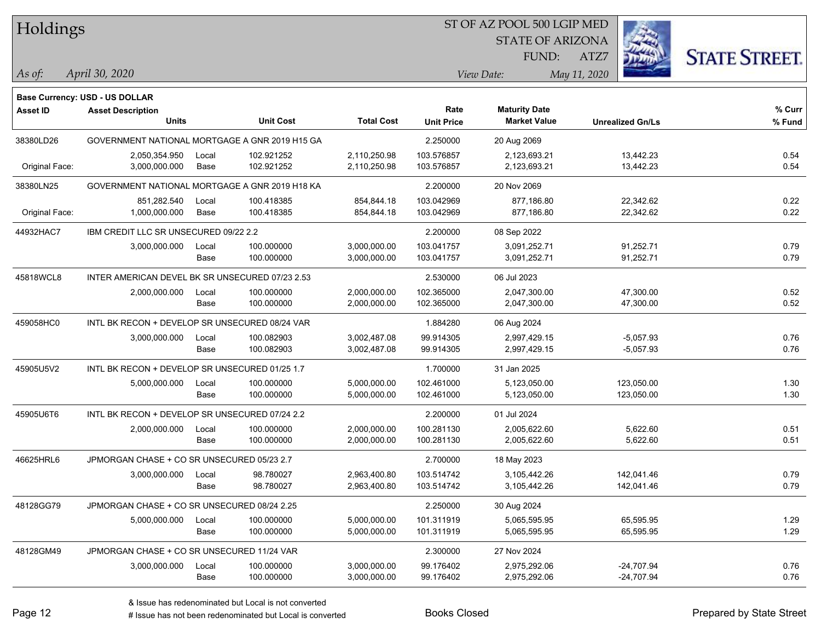| Holdings        |                                                 |       |                  |                   |                           | ST OF AZ POOL 500 LGIP MED                  |                         |                      |
|-----------------|-------------------------------------------------|-------|------------------|-------------------|---------------------------|---------------------------------------------|-------------------------|----------------------|
|                 |                                                 |       |                  |                   |                           | <b>STATE OF ARIZONA</b>                     |                         |                      |
|                 |                                                 |       |                  |                   |                           | <b>FUND:</b>                                | ATZ7                    | <b>STATE STREET.</b> |
| $\vert$ As of:  | April 30, 2020                                  |       |                  |                   |                           | View Date:                                  | May 11, 2020            |                      |
|                 |                                                 |       |                  |                   |                           |                                             |                         |                      |
|                 | <b>Base Currency: USD - US DOLLAR</b>           |       |                  |                   |                           |                                             |                         |                      |
| <b>Asset ID</b> | <b>Asset Description</b><br><b>Units</b>        |       | <b>Unit Cost</b> | <b>Total Cost</b> | Rate<br><b>Unit Price</b> | <b>Maturity Date</b><br><b>Market Value</b> | <b>Unrealized Gn/Ls</b> | % Curr<br>% Fund     |
|                 |                                                 |       |                  |                   |                           |                                             |                         |                      |
| 38380LD26       | GOVERNMENT NATIONAL MORTGAGE A GNR 2019 H15 GA  |       |                  |                   | 2.250000                  | 20 Aug 2069                                 |                         |                      |
|                 | 2,050,354.950                                   | Local | 102.921252       | 2,110,250.98      | 103.576857                | 2,123,693.21                                | 13,442.23               | 0.54                 |
| Original Face:  | 3,000,000.000                                   | Base  | 102.921252       | 2,110,250.98      | 103.576857                | 2,123,693.21                                | 13,442.23               | 0.54                 |
| 38380LN25       | GOVERNMENT NATIONAL MORTGAGE A GNR 2019 H18 KA  |       |                  |                   | 2.200000                  | 20 Nov 2069                                 |                         |                      |
|                 | 851,282.540                                     | Local | 100.418385       | 854,844.18        | 103.042969                | 877,186.80                                  | 22,342.62               | 0.22                 |
| Original Face:  | 1,000,000.000                                   | Base  | 100.418385       | 854,844.18        | 103.042969                | 877,186.80                                  | 22,342.62               | 0.22                 |
| 44932HAC7       | IBM CREDIT LLC SR UNSECURED 09/22 2.2           |       |                  |                   | 2.200000                  | 08 Sep 2022                                 |                         |                      |
|                 | 3,000,000.000                                   | Local | 100.000000       | 3,000,000.00      | 103.041757                | 3,091,252.71                                | 91,252.71               | 0.79                 |
|                 |                                                 | Base  | 100.000000       | 3,000,000.00      | 103.041757                | 3,091,252.71                                | 91,252.71               | 0.79                 |
| 45818WCL8       | INTER AMERICAN DEVEL BK SR UNSECURED 07/23 2.53 |       |                  |                   | 2.530000                  | 06 Jul 2023                                 |                         |                      |
|                 | 2,000,000.000                                   | Local | 100.000000       | 2,000,000.00      | 102.365000                | 2,047,300.00                                | 47,300.00               | 0.52                 |
|                 |                                                 | Base  | 100.000000       | 2,000,000.00      | 102.365000                | 2,047,300.00                                | 47,300.00               | 0.52                 |
| 459058HC0       | INTL BK RECON + DEVELOP SR UNSECURED 08/24 VAR  |       |                  |                   | 1.884280                  | 06 Aug 2024                                 |                         |                      |
|                 | 3,000,000.000                                   | Local | 100.082903       | 3,002,487.08      | 99.914305                 | 2,997,429.15                                | $-5,057.93$             | 0.76                 |
|                 |                                                 | Base  | 100.082903       | 3,002,487.08      | 99.914305                 | 2,997,429.15                                | $-5,057.93$             | 0.76                 |
| 45905U5V2       | INTL BK RECON + DEVELOP SR UNSECURED 01/25 1.7  |       |                  |                   | 1.700000                  | 31 Jan 2025                                 |                         |                      |
|                 | 5,000,000.000                                   | Local | 100.000000       | 5,000,000.00      | 102.461000                | 5,123,050.00                                | 123,050.00              | 1.30                 |
|                 |                                                 | Base  | 100.000000       | 5,000,000.00      | 102.461000                | 5,123,050.00                                | 123,050.00              | 1.30                 |
| 45905U6T6       | INTL BK RECON + DEVELOP SR UNSECURED 07/24 2.2  |       |                  |                   | 2.200000                  | 01 Jul 2024                                 |                         |                      |
|                 | 2,000,000.000                                   | Local | 100.000000       | 2,000,000.00      | 100.281130                | 2,005,622.60                                | 5,622.60                | 0.51                 |
|                 |                                                 | Base  | 100.000000       | 2,000,000.00      | 100.281130                | 2,005,622.60                                | 5,622.60                | 0.51                 |
| 46625HRL6       | JPMORGAN CHASE + CO SR UNSECURED 05/23 2.7      |       |                  |                   | 2.700000                  | 18 May 2023                                 |                         |                      |
|                 | 3,000,000.000                                   | Local | 98.780027        | 2,963,400.80      | 103.514742                | 3,105,442.26                                | 142,041.46              | 0.79                 |
|                 |                                                 | Base  | 98.780027        | 2,963,400.80      | 103.514742                | 3,105,442.26                                | 142,041.46              | 0.79                 |
| 48128GG79       | JPMORGAN CHASE + CO SR UNSECURED 08/24 2.25     |       |                  |                   | 2.250000                  | 30 Aug 2024                                 |                         |                      |
|                 | 5,000,000.000                                   | Local | 100.000000       | 5,000,000.00      | 101.311919                | 5,065,595.95                                | 65,595.95               | 1.29                 |
|                 |                                                 | Base  | 100.000000       | 5,000,000.00      | 101.311919                | 5,065,595.95                                | 65,595.95               | 1.29                 |
| 48128GM49       | JPMORGAN CHASE + CO SR UNSECURED 11/24 VAR      |       |                  |                   | 2.300000                  | 27 Nov 2024                                 |                         |                      |
|                 | 3,000,000.000                                   | Local | 100.000000       | 3,000,000.00      | 99.176402                 | 2,975,292.06                                | $-24,707.94$            | 0.76                 |
|                 |                                                 | Base  | 100.000000       | 3,000,000.00      | 99.176402                 | 2,975,292.06                                | $-24,707.94$            | 0.76                 |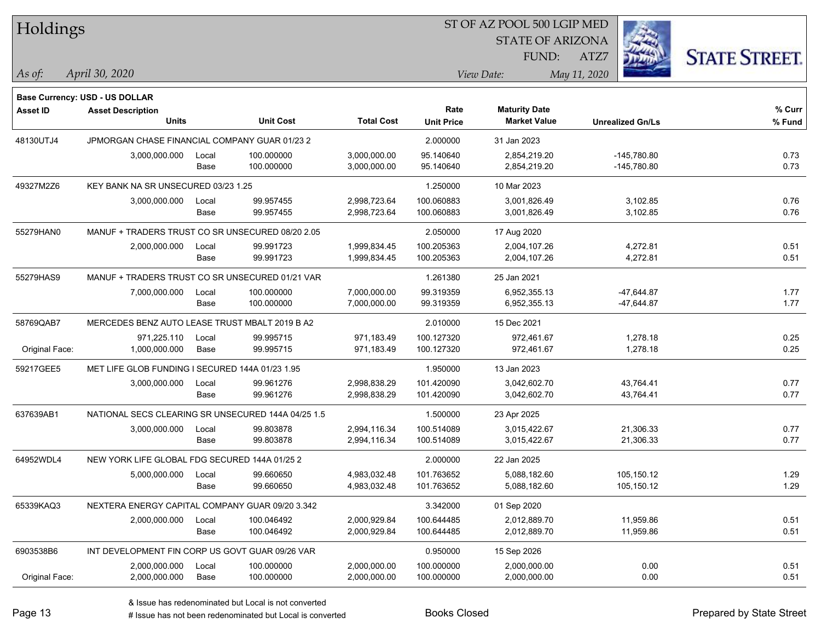| Holdings        |                                                                   |       |                  |                   |                   | ST OF AZ POOL 500 LGIP MED |                         |                      |
|-----------------|-------------------------------------------------------------------|-------|------------------|-------------------|-------------------|----------------------------|-------------------------|----------------------|
|                 |                                                                   |       |                  |                   |                   | <b>STATE OF ARIZONA</b>    |                         |                      |
|                 |                                                                   |       |                  |                   |                   | <b>FUND:</b>               | ATZ7                    | <b>STATE STREET.</b> |
| $\vert$ As of:  | April 30, 2020                                                    |       |                  |                   |                   | View Date:                 | May 11, 2020            |                      |
|                 |                                                                   |       |                  |                   |                   |                            |                         |                      |
| <b>Asset ID</b> | <b>Base Currency: USD - US DOLLAR</b><br><b>Asset Description</b> |       |                  |                   | Rate              | <b>Maturity Date</b>       |                         | % Curr               |
|                 | <b>Units</b>                                                      |       | <b>Unit Cost</b> | <b>Total Cost</b> | <b>Unit Price</b> | <b>Market Value</b>        | <b>Unrealized Gn/Ls</b> | % Fund               |
| 48130UTJ4       | JPMORGAN CHASE FINANCIAL COMPANY GUAR 01/23 2                     |       |                  |                   | 2.000000          | 31 Jan 2023                |                         |                      |
|                 | 3,000,000.000                                                     | Local | 100.000000       | 3,000,000.00      | 95.140640         | 2,854,219.20               | $-145,780.80$           | 0.73                 |
|                 |                                                                   | Base  | 100.000000       | 3,000,000.00      | 95.140640         | 2,854,219.20               | $-145,780.80$           | 0.73                 |
| 49327M2Z6       | KEY BANK NA SR UNSECURED 03/23 1.25                               |       |                  |                   | 1.250000          | 10 Mar 2023                |                         |                      |
|                 | 3,000,000.000                                                     | Local | 99.957455        | 2,998,723.64      | 100.060883        | 3,001,826.49               | 3,102.85                | 0.76                 |
|                 |                                                                   | Base  | 99.957455        | 2,998,723.64      | 100.060883        | 3,001,826.49               | 3,102.85                | 0.76                 |
| 55279HAN0       | MANUF + TRADERS TRUST CO SR UNSECURED 08/20 2.05                  |       |                  |                   | 2.050000          | 17 Aug 2020                |                         |                      |
|                 | 2,000,000.000                                                     | Local | 99.991723        | 1,999,834.45      | 100.205363        | 2,004,107.26               | 4,272.81                | 0.51                 |
|                 |                                                                   | Base  | 99.991723        | 1,999,834.45      | 100.205363        | 2,004,107.26               | 4,272.81                | 0.51                 |
| 55279HAS9       | MANUF + TRADERS TRUST CO SR UNSECURED 01/21 VAR                   |       |                  |                   | 1.261380          | 25 Jan 2021                |                         |                      |
|                 | 7,000,000.000                                                     | Local | 100.000000       | 7,000,000.00      | 99.319359         | 6,952,355.13               | $-47,644.87$            | 1.77                 |
|                 |                                                                   | Base  | 100.000000       | 7,000,000.00      | 99.319359         | 6,952,355.13               | $-47,644.87$            | 1.77                 |
| 58769QAB7       | MERCEDES BENZ AUTO LEASE TRUST MBALT 2019 B A2                    |       |                  |                   | 2.010000          | 15 Dec 2021                |                         |                      |
|                 | 971,225.110                                                       | Local | 99.995715        | 971,183.49        | 100.127320        | 972,461.67                 | 1,278.18                | 0.25                 |
| Original Face:  | 1,000,000.000                                                     | Base  | 99.995715        | 971,183.49        | 100.127320        | 972,461.67                 | 1,278.18                | 0.25                 |
| 59217GEE5       | MET LIFE GLOB FUNDING I SECURED 144A 01/23 1.95                   |       |                  |                   | 1.950000          | 13 Jan 2023                |                         |                      |
|                 | 3,000,000.000                                                     | Local | 99.961276        | 2,998,838.29      | 101.420090        | 3,042,602.70               | 43,764.41               | 0.77                 |
|                 |                                                                   | Base  | 99.961276        | 2,998,838.29      | 101.420090        | 3,042,602.70               | 43,764.41               | 0.77                 |
| 637639AB1       | NATIONAL SECS CLEARING SR UNSECURED 144A 04/25 1.5                |       |                  |                   | 1.500000          | 23 Apr 2025                |                         |                      |
|                 | 3,000,000.000                                                     | Local | 99.803878        | 2,994,116.34      | 100.514089        | 3,015,422.67               | 21,306.33               | 0.77                 |
|                 |                                                                   | Base  | 99.803878        | 2,994,116.34      | 100.514089        | 3,015,422.67               | 21,306.33               | 0.77                 |
| 64952WDL4       | NEW YORK LIFE GLOBAL FDG SECURED 144A 01/25 2                     |       |                  |                   | 2.000000          | 22 Jan 2025                |                         |                      |
|                 | 5,000,000.000                                                     | Local | 99.660650        | 4,983,032.48      | 101.763652        | 5,088,182.60               | 105,150.12              | 1.29                 |
|                 |                                                                   | Base  | 99.660650        | 4,983,032.48      | 101.763652        | 5,088,182.60               | 105,150.12              | 1.29                 |
| 65339KAQ3       | NEXTERA ENERGY CAPITAL COMPANY GUAR 09/20 3.342                   |       |                  |                   | 3.342000          | 01 Sep 2020                |                         |                      |
|                 | 2,000,000.000                                                     | Local | 100.046492       | 2,000,929.84      | 100.644485        | 2,012,889.70               | 11,959.86               | 0.51                 |
|                 |                                                                   | Base  | 100.046492       | 2,000,929.84      | 100.644485        | 2,012,889.70               | 11,959.86               | 0.51                 |
| 6903538B6       | INT DEVELOPMENT FIN CORP US GOVT GUAR 09/26 VAR                   |       |                  |                   | 0.950000          | 15 Sep 2026                |                         |                      |
|                 | 2,000,000.000                                                     | Local | 100.000000       | 2,000,000.00      | 100.000000        | 2,000,000.00               | 0.00                    | 0.51                 |
| Original Face:  | 2,000,000.000                                                     | Base  | 100.000000       | 2,000,000.00      | 100.000000        | 2,000,000.00               | 0.00                    | 0.51                 |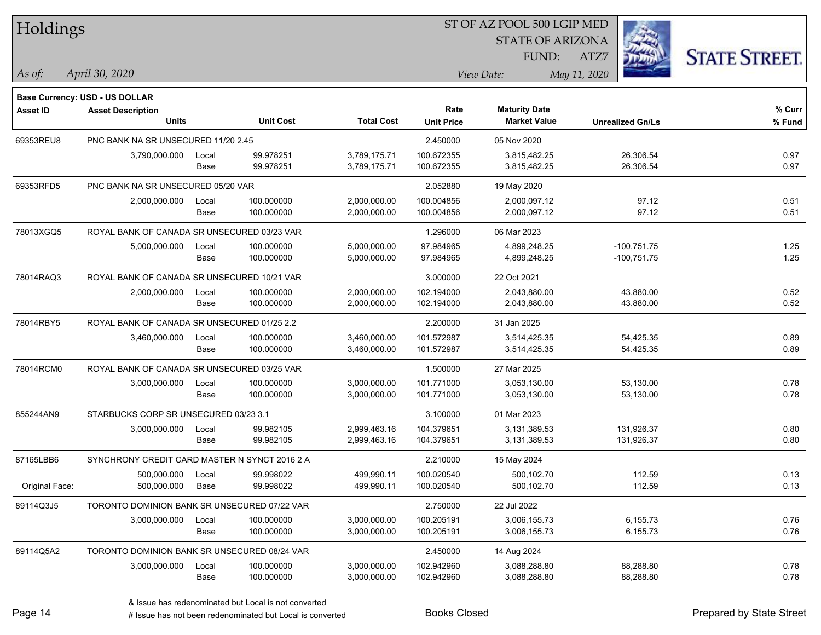| Holdings        |                                                            |       |                  |                   |                   | ST OF AZ POOL 500 LGIP MED |                         |                      |
|-----------------|------------------------------------------------------------|-------|------------------|-------------------|-------------------|----------------------------|-------------------------|----------------------|
|                 |                                                            |       |                  |                   |                   | <b>STATE OF ARIZONA</b>    |                         |                      |
|                 |                                                            |       |                  |                   |                   | FUND:                      | ATZ7                    | <b>STATE STREET.</b> |
| As of:          | April 30, 2020                                             |       |                  |                   |                   | View Date:                 | May 11, 2020            |                      |
|                 |                                                            |       |                  |                   |                   |                            |                         |                      |
| <b>Asset ID</b> | Base Currency: USD - US DOLLAR<br><b>Asset Description</b> |       |                  |                   | Rate              | <b>Maturity Date</b>       |                         | % Curr               |
|                 | <b>Units</b>                                               |       | <b>Unit Cost</b> | <b>Total Cost</b> | <b>Unit Price</b> | <b>Market Value</b>        | <b>Unrealized Gn/Ls</b> | $%$ Fund             |
| 69353REU8       | PNC BANK NA SR UNSECURED 11/20 2.45                        |       |                  |                   | 2.450000          | 05 Nov 2020                |                         |                      |
|                 | 3,790,000.000                                              | Local | 99.978251        | 3,789,175.71      | 100.672355        | 3.815.482.25               | 26,306.54               | 0.97                 |
|                 |                                                            | Base  | 99.978251        | 3,789,175.71      | 100.672355        | 3,815,482.25               | 26,306.54               | 0.97                 |
| 69353RFD5       | PNC BANK NA SR UNSECURED 05/20 VAR                         |       |                  |                   | 2.052880          | 19 May 2020                |                         |                      |
|                 | 2,000,000.000                                              | Local | 100.000000       | 2,000,000.00      | 100.004856        | 2,000,097.12               | 97.12                   | 0.51                 |
|                 |                                                            | Base  | 100.000000       | 2,000,000.00      | 100.004856        | 2,000,097.12               | 97.12                   | 0.51                 |
| 78013XGQ5       | ROYAL BANK OF CANADA SR UNSECURED 03/23 VAR                |       |                  |                   | 1.296000          | 06 Mar 2023                |                         |                      |
|                 | 5,000,000.000                                              | Local | 100.000000       | 5,000,000.00      | 97.984965         | 4,899,248.25               | $-100,751.75$           | 1.25                 |
|                 |                                                            | Base  | 100.000000       | 5,000,000.00      | 97.984965         | 4,899,248.25               | $-100,751.75$           | 1.25                 |
| 78014RAQ3       | ROYAL BANK OF CANADA SR UNSECURED 10/21 VAR                |       |                  |                   | 3.000000          | 22 Oct 2021                |                         |                      |
|                 | 2,000,000.000                                              | Local | 100.000000       | 2,000,000.00      | 102.194000        | 2,043,880.00               | 43,880.00               | 0.52                 |
|                 |                                                            | Base  | 100.000000       | 2,000,000.00      | 102.194000        | 2,043,880.00               | 43,880.00               | 0.52                 |
| 78014RBY5       | ROYAL BANK OF CANADA SR UNSECURED 01/25 2.2                |       |                  |                   | 2.200000          | 31 Jan 2025                |                         |                      |
|                 | 3,460,000.000                                              | Local | 100.000000       | 3,460,000.00      | 101.572987        | 3,514,425.35               | 54,425.35               | 0.89                 |
|                 |                                                            | Base  | 100.000000       | 3,460,000.00      | 101.572987        | 3,514,425.35               | 54,425.35               | 0.89                 |
| 78014RCM0       | ROYAL BANK OF CANADA SR UNSECURED 03/25 VAR                |       |                  |                   | 1.500000          | 27 Mar 2025                |                         |                      |
|                 | 3,000,000.000                                              | Local | 100.000000       | 3,000,000.00      | 101.771000        | 3,053,130.00               | 53,130.00               | 0.78                 |
|                 |                                                            | Base  | 100.000000       | 3,000,000.00      | 101.771000        | 3,053,130.00               | 53,130.00               | 0.78                 |
| 855244AN9       | STARBUCKS CORP SR UNSECURED 03/23 3.1                      |       |                  |                   | 3.100000          | 01 Mar 2023                |                         |                      |
|                 | 3,000,000.000                                              | Local | 99.982105        | 2,999,463.16      | 104.379651        | 3,131,389.53               | 131,926.37              | 0.80                 |
|                 |                                                            | Base  | 99.982105        | 2,999,463.16      | 104.379651        | 3,131,389.53               | 131,926.37              | 0.80                 |
| 87165LBB6       | SYNCHRONY CREDIT CARD MASTER N SYNCT 2016 2 A              |       |                  |                   | 2.210000          | 15 May 2024                |                         |                      |
|                 | 500,000.000                                                | Local | 99.998022        | 499.990.11        | 100.020540        | 500,102.70                 | 112.59                  | 0.13                 |
| Original Face:  | 500,000.000                                                | Base  | 99.998022        | 499,990.11        | 100.020540        | 500,102.70                 | 112.59                  | 0.13                 |
| 89114Q3J5       | TORONTO DOMINION BANK SR UNSECURED 07/22 VAR               |       |                  |                   | 2.750000          | 22 Jul 2022                |                         |                      |
|                 | 3,000,000.000                                              | Local | 100.000000       | 3,000,000.00      | 100.205191        | 3,006,155.73               | 6,155.73                | 0.76                 |
|                 |                                                            | Base  | 100.000000       | 3,000,000.00      | 100.205191        | 3,006,155.73               | 6,155.73                | 0.76                 |
| 89114Q5A2       | TORONTO DOMINION BANK SR UNSECURED 08/24 VAR               |       |                  |                   | 2.450000          | 14 Aug 2024                |                         |                      |
|                 | 3,000,000.000                                              | Local | 100.000000       | 3,000,000.00      | 102.942960        | 3,088,288.80               | 88,288.80               | 0.78                 |
|                 |                                                            | Base  | 100.000000       | 3,000,000.00      | 102.942960        | 3,088,288.80               | 88,288.80               | 0.78                 |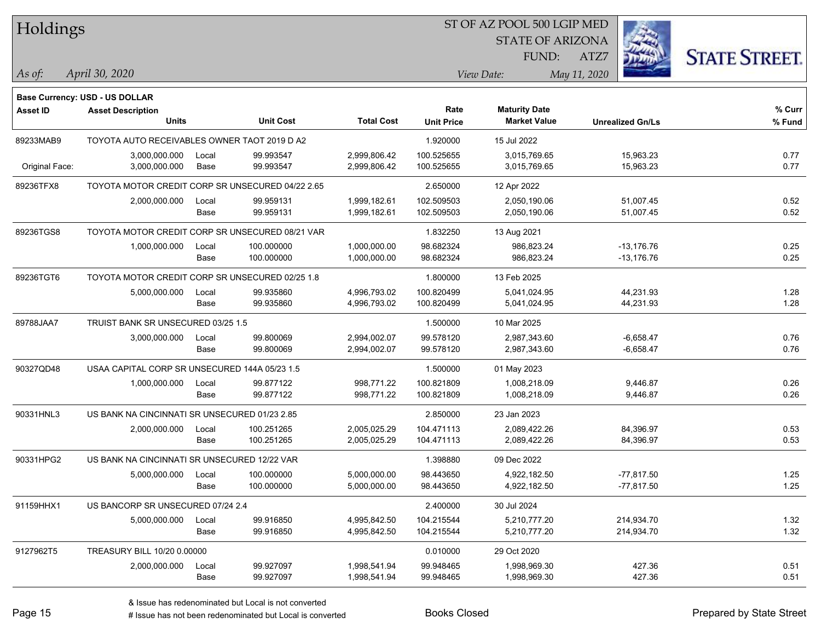| Holdings        |                                                  |       |                  |                   |                   | ST OF AZ POOL 500 LGIP MED |                         |                      |
|-----------------|--------------------------------------------------|-------|------------------|-------------------|-------------------|----------------------------|-------------------------|----------------------|
|                 |                                                  |       |                  |                   |                   | <b>STATE OF ARIZONA</b>    |                         |                      |
|                 |                                                  |       |                  |                   |                   | FUND:                      | ATZ7                    | <b>STATE STREET.</b> |
| As of:          | April 30, 2020                                   |       |                  |                   |                   | View Date:                 | May 11, 2020            |                      |
|                 | <b>Base Currency: USD - US DOLLAR</b>            |       |                  |                   |                   |                            |                         |                      |
| <b>Asset ID</b> | <b>Asset Description</b>                         |       |                  |                   | Rate              | <b>Maturity Date</b>       |                         | % Curr               |
|                 | <b>Units</b>                                     |       | <b>Unit Cost</b> | <b>Total Cost</b> | <b>Unit Price</b> | <b>Market Value</b>        | <b>Unrealized Gn/Ls</b> | % Fund               |
| 89233MAB9       | TOYOTA AUTO RECEIVABLES OWNER TAOT 2019 D A2     |       |                  |                   | 1.920000          | 15 Jul 2022                |                         |                      |
|                 | 3,000,000.000                                    | Local | 99.993547        | 2,999,806.42      | 100.525655        | 3,015,769.65               | 15,963.23               | 0.77                 |
| Original Face:  | 3,000,000.000                                    | Base  | 99.993547        | 2,999,806.42      | 100.525655        | 3,015,769.65               | 15,963.23               | 0.77                 |
| 89236TFX8       | TOYOTA MOTOR CREDIT CORP SR UNSECURED 04/22 2.65 |       |                  |                   | 2.650000          | 12 Apr 2022                |                         |                      |
|                 | 2,000,000.000                                    | Local | 99.959131        | 1,999,182.61      | 102.509503        | 2,050,190.06               | 51,007.45               | 0.52                 |
|                 |                                                  | Base  | 99.959131        | 1,999,182.61      | 102.509503        | 2,050,190.06               | 51,007.45               | 0.52                 |
| 89236TGS8       | TOYOTA MOTOR CREDIT CORP SR UNSECURED 08/21 VAR  |       |                  |                   | 1.832250          | 13 Aug 2021                |                         |                      |
|                 | 1,000,000.000                                    | Local | 100.000000       | 1,000,000.00      | 98.682324         | 986.823.24                 | $-13,176.76$            | 0.25                 |
|                 |                                                  | Base  | 100.000000       | 1,000,000.00      | 98.682324         | 986,823.24                 | $-13,176.76$            | 0.25                 |
| 89236TGT6       | TOYOTA MOTOR CREDIT CORP SR UNSECURED 02/25 1.8  |       |                  |                   | 1.800000          | 13 Feb 2025                |                         |                      |
|                 | 5,000,000.000                                    | Local | 99.935860        | 4,996,793.02      | 100.820499        | 5,041,024.95               | 44,231.93               | 1.28                 |
|                 |                                                  | Base  | 99.935860        | 4,996,793.02      | 100.820499        | 5,041,024.95               | 44,231.93               | 1.28                 |
| 89788JAA7       | TRUIST BANK SR UNSECURED 03/25 1.5               |       |                  |                   | 1.500000          | 10 Mar 2025                |                         |                      |
|                 | 3,000,000.000                                    | Local | 99.800069        | 2,994,002.07      | 99.578120         | 2,987,343.60               | $-6,658.47$             | 0.76                 |
|                 |                                                  | Base  | 99.800069        | 2,994,002.07      | 99.578120         | 2,987,343.60               | $-6,658.47$             | 0.76                 |
| 90327QD48       | USAA CAPITAL CORP SR UNSECURED 144A 05/23 1.5    |       |                  |                   | 1.500000          | 01 May 2023                |                         |                      |
|                 | 1,000,000.000                                    | Local | 99.877122        | 998,771.22        | 100.821809        | 1,008,218.09               | 9,446.87                | 0.26                 |
|                 |                                                  | Base  | 99.877122        | 998,771.22        | 100.821809        | 1,008,218.09               | 9,446.87                | 0.26                 |
| 90331HNL3       | US BANK NA CINCINNATI SR UNSECURED 01/23 2.85    |       |                  |                   | 2.850000          | 23 Jan 2023                |                         |                      |
|                 | 2,000,000.000                                    | Local | 100.251265       | 2,005,025.29      | 104.471113        | 2,089,422.26               | 84,396.97               | 0.53                 |
|                 |                                                  | Base  | 100.251265       | 2,005,025.29      | 104.471113        | 2,089,422.26               | 84,396.97               | 0.53                 |
| 90331HPG2       | US BANK NA CINCINNATI SR UNSECURED 12/22 VAR     |       |                  |                   | 1.398880          | 09 Dec 2022                |                         |                      |
|                 | 5,000,000.000                                    | Local | 100.000000       | 5,000,000.00      | 98.443650         | 4,922,182.50               | $-77.817.50$            | 1.25                 |
|                 |                                                  | Base  | 100.000000       | 5,000,000.00      | 98.443650         | 4,922,182.50               | $-77,817.50$            | 1.25                 |
| 91159HHX1       | US BANCORP SR UNSECURED 07/24 2.4                |       |                  |                   | 2.400000          | 30 Jul 2024                |                         |                      |
|                 | 5,000,000.000                                    | Local | 99.916850        | 4,995,842.50      | 104.215544        | 5,210,777.20               | 214,934.70              | 1.32                 |
|                 |                                                  | Base  | 99.916850        | 4,995,842.50      | 104.215544        | 5,210,777.20               | 214,934.70              | 1.32                 |
| 9127962T5       | TREASURY BILL 10/20 0.00000                      |       |                  |                   | 0.010000          | 29 Oct 2020                |                         |                      |
|                 | 2,000,000.000                                    | Local | 99.927097        | 1,998,541.94      | 99.948465         | 1,998,969.30               | 427.36                  | 0.51                 |
|                 |                                                  | Base  | 99.927097        | 1,998,541.94      | 99.948465         | 1,998,969.30               | 427.36                  | 0.51                 |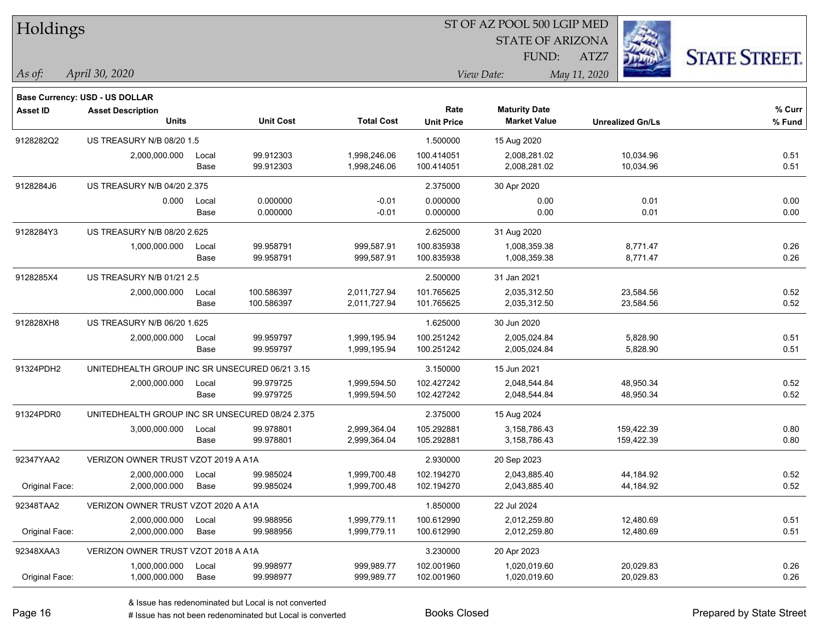| Holdings        |                                                 |       |                  |                   | ST OF AZ POOL 500 LGIP MED |                                             |                         |                      |
|-----------------|-------------------------------------------------|-------|------------------|-------------------|----------------------------|---------------------------------------------|-------------------------|----------------------|
|                 |                                                 |       |                  |                   |                            | <b>STATE OF ARIZONA</b>                     |                         |                      |
|                 |                                                 |       |                  |                   |                            | FUND:                                       | ATZ7                    | <b>STATE STREET.</b> |
| As of:          | April 30, 2020                                  |       |                  |                   |                            | View Date:                                  | May 11, 2020            |                      |
|                 |                                                 |       |                  |                   |                            |                                             |                         |                      |
|                 | Base Currency: USD - US DOLLAR                  |       |                  |                   |                            |                                             |                         |                      |
| <b>Asset ID</b> | <b>Asset Description</b><br><b>Units</b>        |       | <b>Unit Cost</b> | <b>Total Cost</b> | Rate<br><b>Unit Price</b>  | <b>Maturity Date</b><br><b>Market Value</b> | <b>Unrealized Gn/Ls</b> | % Curr<br>% Fund     |
| 9128282Q2       | US TREASURY N/B 08/20 1.5                       |       |                  |                   | 1.500000                   | 15 Aug 2020                                 |                         |                      |
|                 | 2,000,000.000                                   | Local | 99.912303        | 1,998,246.06      | 100.414051                 | 2,008,281.02                                | 10,034.96               | 0.51                 |
|                 |                                                 | Base  | 99.912303        | 1,998,246.06      | 100.414051                 | 2,008,281.02                                | 10,034.96               | 0.51                 |
| 9128284J6       | US TREASURY N/B 04/20 2.375                     |       |                  |                   | 2.375000                   | 30 Apr 2020                                 |                         |                      |
|                 | 0.000                                           | Local | 0.000000         | $-0.01$           | 0.000000                   | 0.00                                        | 0.01                    | 0.00                 |
|                 |                                                 | Base  | 0.000000         | $-0.01$           | 0.000000                   | 0.00                                        | 0.01                    | 0.00                 |
| 9128284Y3       | US TREASURY N/B 08/20 2.625                     |       |                  |                   | 2.625000                   | 31 Aug 2020                                 |                         |                      |
|                 | 1,000,000.000                                   | Local | 99.958791        | 999,587.91        | 100.835938                 | 1,008,359.38                                | 8,771.47                | 0.26                 |
|                 |                                                 | Base  | 99.958791        | 999,587.91        | 100.835938                 | 1,008,359.38                                | 8,771.47                | 0.26                 |
| 9128285X4       | US TREASURY N/B 01/21 2.5                       |       |                  |                   | 2.500000                   | 31 Jan 2021                                 |                         |                      |
|                 | 2,000,000.000                                   | Local | 100.586397       | 2,011,727.94      | 101.765625                 | 2,035,312.50                                | 23,584.56               | 0.52                 |
|                 |                                                 | Base  | 100.586397       | 2,011,727.94      | 101.765625                 | 2,035,312.50                                | 23,584.56               | 0.52                 |
| 912828XH8       | US TREASURY N/B 06/20 1.625                     |       |                  |                   | 1.625000                   | 30 Jun 2020                                 |                         |                      |
|                 | 2,000,000.000                                   | Local | 99.959797        | 1,999,195.94      | 100.251242                 | 2,005,024.84                                | 5,828.90                | 0.51                 |
|                 |                                                 | Base  | 99.959797        | 1,999,195.94      | 100.251242                 | 2,005,024.84                                | 5,828.90                | 0.51                 |
| 91324PDH2       | UNITEDHEALTH GROUP INC SR UNSECURED 06/21 3.15  |       |                  |                   | 3.150000                   | 15 Jun 2021                                 |                         |                      |
|                 | 2,000,000.000                                   | Local | 99.979725        | 1,999,594.50      | 102.427242                 | 2,048,544.84                                | 48,950.34               | 0.52                 |
|                 |                                                 | Base  | 99.979725        | 1,999,594.50      | 102.427242                 | 2,048,544.84                                | 48,950.34               | 0.52                 |
| 91324PDR0       | UNITEDHEALTH GROUP INC SR UNSECURED 08/24 2.375 |       |                  |                   | 2.375000                   | 15 Aug 2024                                 |                         |                      |
|                 | 3,000,000.000                                   | Local | 99.978801        | 2,999,364.04      | 105.292881                 | 3,158,786.43                                | 159,422.39              | 0.80                 |
|                 |                                                 | Base  | 99.978801        | 2,999,364.04      | 105.292881                 | 3,158,786.43                                | 159,422.39              | 0.80                 |
| 92347YAA2       | VERIZON OWNER TRUST VZOT 2019 A A1A             |       |                  |                   | 2.930000                   | 20 Sep 2023                                 |                         |                      |
|                 | 2,000,000.000                                   | Local | 99.985024        | 1,999,700.48      | 102.194270                 | 2,043,885.40                                | 44,184.92               | 0.52                 |
| Original Face:  | 2,000,000.000                                   | Base  | 99.985024        | 1,999,700.48      | 102.194270                 | 2,043,885.40                                | 44,184.92               | 0.52                 |
| 92348TAA2       | VERIZON OWNER TRUST VZOT 2020 A A1A             |       |                  |                   | 1.850000                   | 22 Jul 2024                                 |                         |                      |
|                 | 2,000,000.000                                   | Local | 99.988956        | 1,999,779.11      | 100.612990                 | 2,012,259.80                                | 12,480.69               | 0.51                 |
| Original Face:  | 2,000,000.000                                   | Base  | 99.988956        | 1,999,779.11      | 100.612990                 | 2,012,259.80                                | 12,480.69               | 0.51                 |
| 92348XAA3       | VERIZON OWNER TRUST VZOT 2018 A A1A             |       |                  |                   | 3.230000                   | 20 Apr 2023                                 |                         |                      |
|                 | 1,000,000.000                                   | Local | 99.998977        | 999,989.77        | 102.001960                 | 1,020,019.60                                | 20,029.83               | 0.26                 |
| Original Face:  | 1,000,000.000                                   | Base  | 99.998977        | 999,989.77        | 102.001960                 | 1,020,019.60                                | 20,029.83               | 0.26                 |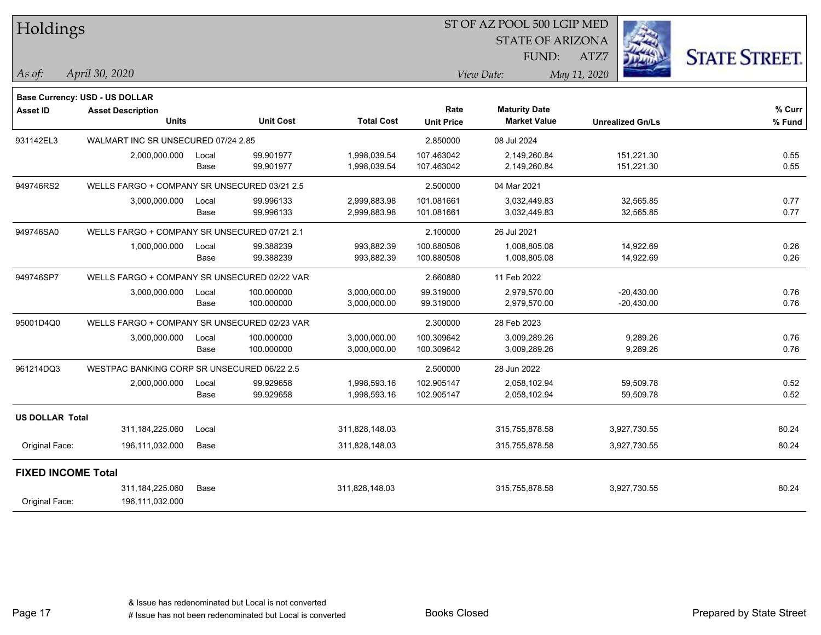| Holdings                  |                                              |       |                  |                   |                           | ST OF AZ POOL 500 LGIP MED                  |                         |                      |
|---------------------------|----------------------------------------------|-------|------------------|-------------------|---------------------------|---------------------------------------------|-------------------------|----------------------|
|                           |                                              |       |                  |                   |                           | <b>STATE OF ARIZONA</b>                     |                         |                      |
|                           |                                              |       |                  |                   |                           | FUND:                                       | ATZ7                    | <b>STATE STREET.</b> |
| As of:                    | April 30, 2020                               |       |                  |                   |                           | View Date:                                  | May 11, 2020            |                      |
|                           | Base Currency: USD - US DOLLAR               |       |                  |                   |                           |                                             |                         |                      |
| <b>Asset ID</b>           | <b>Asset Description</b><br><b>Units</b>     |       | <b>Unit Cost</b> | <b>Total Cost</b> | Rate<br><b>Unit Price</b> | <b>Maturity Date</b><br><b>Market Value</b> | <b>Unrealized Gn/Ls</b> | % Curr<br>% Fund     |
| 931142EL3                 | WALMART INC SR UNSECURED 07/24 2.85          |       |                  |                   | 2.850000                  | 08 Jul 2024                                 |                         |                      |
|                           | 2,000,000.000                                | Local | 99.901977        | 1,998,039.54      | 107.463042                | 2,149,260.84                                | 151,221.30              | 0.55                 |
|                           |                                              | Base  | 99.901977        | 1,998,039.54      | 107.463042                | 2,149,260.84                                | 151,221.30              | 0.55                 |
| 949746RS2                 | WELLS FARGO + COMPANY SR UNSECURED 03/21 2.5 |       |                  |                   | 2.500000                  | 04 Mar 2021                                 |                         |                      |
|                           | 3,000,000.000                                | Local | 99.996133        | 2,999,883.98      | 101.081661                | 3,032,449.83                                | 32,565.85               | 0.77                 |
|                           |                                              | Base  | 99.996133        | 2,999,883.98      | 101.081661                | 3,032,449.83                                | 32,565.85               | 0.77                 |
| 949746SA0                 | WELLS FARGO + COMPANY SR UNSECURED 07/21 2.1 |       |                  |                   | 2.100000                  | 26 Jul 2021                                 |                         |                      |
|                           | 1,000,000.000                                | Local | 99.388239        | 993,882.39        | 100.880508                | 1,008,805.08                                | 14,922.69               | 0.26                 |
|                           |                                              | Base  | 99.388239        | 993,882.39        | 100.880508                | 1,008,805.08                                | 14,922.69               | 0.26                 |
| 949746SP7                 | WELLS FARGO + COMPANY SR UNSECURED 02/22 VAR |       |                  |                   | 2.660880                  | 11 Feb 2022                                 |                         |                      |
|                           | 3,000,000.000                                | Local | 100.000000       | 3,000,000.00      | 99.319000                 | 2,979,570.00                                | $-20,430.00$            | 0.76                 |
|                           |                                              | Base  | 100.000000       | 3,000,000.00      | 99.319000                 | 2,979,570.00                                | $-20,430.00$            | 0.76                 |
| 95001D4Q0                 | WELLS FARGO + COMPANY SR UNSECURED 02/23 VAR |       |                  |                   | 2.300000                  | 28 Feb 2023                                 |                         |                      |
|                           | 3,000,000.000                                | Local | 100.000000       | 3,000,000.00      | 100.309642                | 3,009,289.26                                | 9,289.26                | 0.76                 |
|                           |                                              | Base  | 100.000000       | 3,000,000.00      | 100.309642                | 3,009,289.26                                | 9,289.26                | 0.76                 |
| 961214DQ3                 | WESTPAC BANKING CORP SR UNSECURED 06/22 2.5  |       |                  |                   | 2.500000                  | 28 Jun 2022                                 |                         |                      |
|                           | 2,000,000.000                                | Local | 99.929658        | 1,998,593.16      | 102.905147                | 2,058,102.94                                | 59,509.78               | 0.52                 |
|                           |                                              | Base  | 99.929658        | 1,998,593.16      | 102.905147                | 2,058,102.94                                | 59,509.78               | 0.52                 |
| <b>US DOLLAR Total</b>    |                                              |       |                  |                   |                           |                                             |                         |                      |
|                           | 311, 184, 225.060                            | Local |                  | 311,828,148.03    |                           | 315,755,878.58                              | 3,927,730.55            | 80.24                |
| Original Face:            | 196,111,032.000                              | Base  |                  | 311,828,148.03    |                           | 315,755,878.58                              | 3,927,730.55            | 80.24                |
| <b>FIXED INCOME Total</b> |                                              |       |                  |                   |                           |                                             |                         |                      |
|                           | 311, 184, 225.060                            | Base  |                  | 311,828,148.03    |                           | 315,755,878.58                              | 3,927,730.55            | 80.24                |
| Original Face:            | 196,111,032.000                              |       |                  |                   |                           |                                             |                         |                      |

Page 17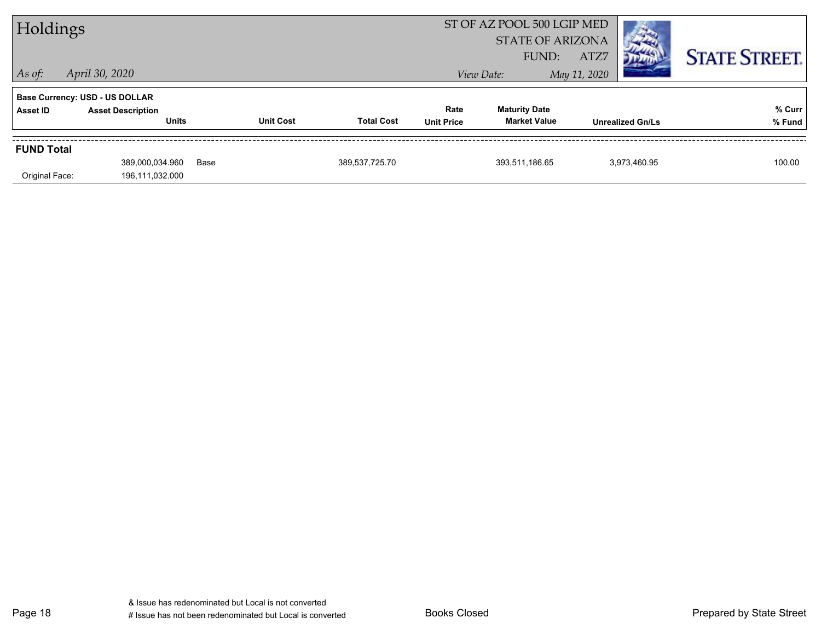| Holdings                            |                                                                            |      |                  |                   |                           | ST OF AZ POOL 500 LGIP MED<br><b>STATE OF ARIZONA</b> |                      |                         |                      |
|-------------------------------------|----------------------------------------------------------------------------|------|------------------|-------------------|---------------------------|-------------------------------------------------------|----------------------|-------------------------|----------------------|
| $ $ As of:                          | April 30, 2020                                                             |      |                  |                   |                           | FUND:<br>View Date:                                   | ATZ7<br>May 11, 2020 |                         | <b>STATE STREET.</b> |
| Asset ID                            | Base Currency: USD - US DOLLAR<br><b>Asset Description</b><br><b>Units</b> |      | <b>Unit Cost</b> | <b>Total Cost</b> | Rate<br><b>Unit Price</b> | <b>Maturity Date</b><br><b>Market Value</b>           |                      | <b>Unrealized Gn/Ls</b> | % Curr<br>% Fund     |
| <b>FUND Total</b><br>Original Face: | 389,000,034.960<br>196,111,032.000                                         | Base |                  | 389,537,725.70    |                           | 393,511,186.65                                        |                      | 3,973,460.95            | 100.00               |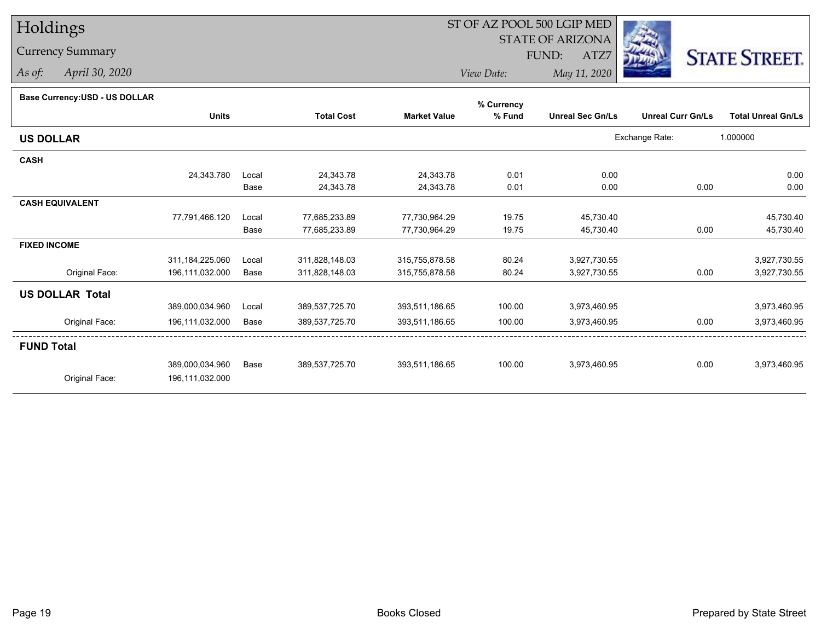# Holdings

### Currency Summary

*As of: April 30, 2020*

## ST OF AZ POOL 500 LGIP MED

 STATE OF ARIZONAFUND:

ATZ7



*View Date:May 11, 2020*

#### **Base Currency:USD - US DOLLAR**

|                        |                   |       |                   |                     | % Currency |                         |                          |                           |
|------------------------|-------------------|-------|-------------------|---------------------|------------|-------------------------|--------------------------|---------------------------|
|                        | <b>Units</b>      |       | <b>Total Cost</b> | <b>Market Value</b> | % Fund     | <b>Unreal Sec Gn/Ls</b> | <b>Unreal Curr Gn/Ls</b> | <b>Total Unreal Gn/Ls</b> |
| <b>US DOLLAR</b>       |                   |       |                   |                     |            |                         | Exchange Rate:           | 1.000000                  |
| <b>CASH</b>            |                   |       |                   |                     |            |                         |                          |                           |
|                        | 24,343.780        | Local | 24,343.78         | 24,343.78           | 0.01       | 0.00                    |                          | 0.00                      |
|                        |                   | Base  | 24,343.78         | 24,343.78           | 0.01       | 0.00                    | 0.00                     | 0.00                      |
| <b>CASH EQUIVALENT</b> |                   |       |                   |                     |            |                         |                          |                           |
|                        | 77,791,466.120    | Local | 77,685,233.89     | 77,730,964.29       | 19.75      | 45,730.40               |                          | 45,730.40                 |
|                        |                   | Base  | 77,685,233.89     | 77,730,964.29       | 19.75      | 45,730.40               | 0.00                     | 45,730.40                 |
| <b>FIXED INCOME</b>    |                   |       |                   |                     |            |                         |                          |                           |
|                        | 311, 184, 225.060 | Local | 311,828,148.03    | 315,755,878.58      | 80.24      | 3,927,730.55            |                          | 3,927,730.55              |
| Original Face:         | 196,111,032.000   | Base  | 311,828,148.03    | 315,755,878.58      | 80.24      | 3,927,730.55            | 0.00                     | 3,927,730.55              |
| <b>US DOLLAR Total</b> |                   |       |                   |                     |            |                         |                          |                           |
|                        | 389,000,034.960   | Local | 389,537,725.70    | 393,511,186.65      | 100.00     | 3,973,460.95            |                          | 3,973,460.95              |
| Original Face:         | 196,111,032.000   | Base  | 389,537,725.70    | 393,511,186.65      | 100.00     | 3,973,460.95            | 0.00                     | 3,973,460.95              |
| <b>FUND Total</b>      |                   |       |                   |                     |            |                         |                          |                           |
|                        | 389,000,034.960   | Base  | 389,537,725.70    | 393,511,186.65      | 100.00     | 3,973,460.95            | 0.00                     | 3,973,460.95              |
| Original Face:         | 196,111,032.000   |       |                   |                     |            |                         |                          |                           |
|                        |                   |       |                   |                     |            |                         |                          |                           |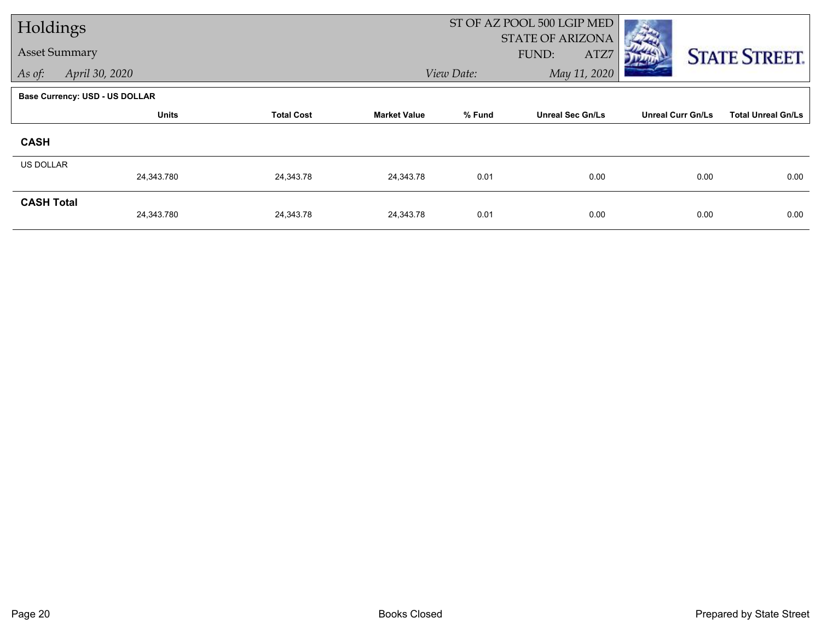| Holdings             |                                       |                   |                     |            | ST OF AZ POOL 500 LGIP MED               |                          |                           |
|----------------------|---------------------------------------|-------------------|---------------------|------------|------------------------------------------|--------------------------|---------------------------|
| <b>Asset Summary</b> |                                       |                   |                     |            | <b>STATE OF ARIZONA</b><br>FUND:<br>ATZ7 |                          | <b>STATE STREET.</b>      |
| As of:               | April 30, 2020                        |                   |                     | View Date: | May 11, 2020                             |                          |                           |
|                      | <b>Base Currency: USD - US DOLLAR</b> |                   |                     |            |                                          |                          |                           |
|                      | <b>Units</b>                          | <b>Total Cost</b> | <b>Market Value</b> | % Fund     | <b>Unreal Sec Gn/Ls</b>                  | <b>Unreal Curr Gn/Ls</b> | <b>Total Unreal Gn/Ls</b> |
| <b>CASH</b>          |                                       |                   |                     |            |                                          |                          |                           |
| <b>US DOLLAR</b>     |                                       |                   |                     |            |                                          |                          |                           |
|                      | 24,343.780                            | 24,343.78         | 24,343.78           | 0.01       | 0.00                                     | 0.00                     | 0.00                      |
| <b>CASH Total</b>    | 24,343.780                            | 24,343.78         | 24,343.78           | 0.01       | 0.00                                     | 0.00                     | 0.00                      |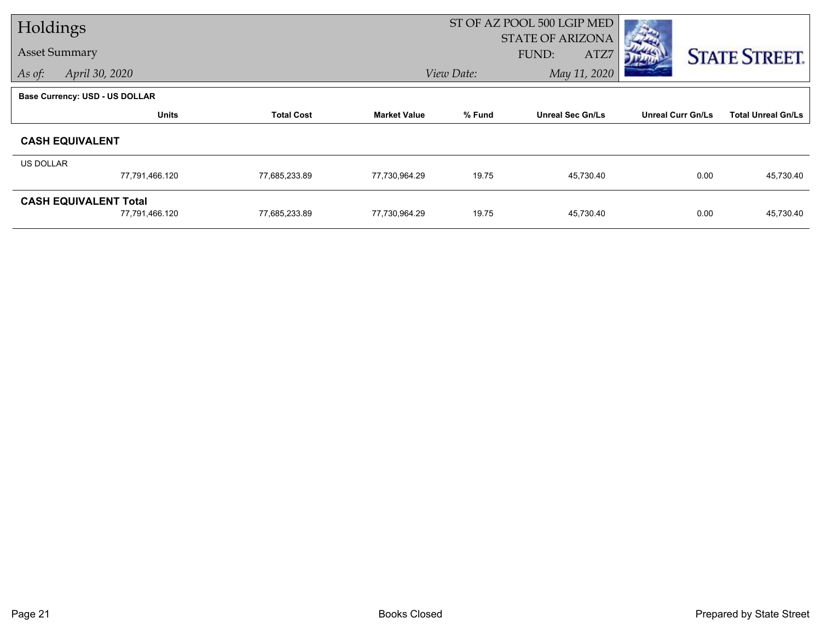| Holdings                     |                                |                   |                     |                                   | ST OF AZ POOL 500 LGIP MED |                          |                           |
|------------------------------|--------------------------------|-------------------|---------------------|-----------------------------------|----------------------------|--------------------------|---------------------------|
|                              |                                |                   |                     | <b>STATE OF ARIZONA</b>           |                            |                          |                           |
| <b>Asset Summary</b>         |                                |                   |                     |                                   | FUND:<br>ATZ7              |                          | <b>STATE STREET.</b>      |
| As of:                       | April 30, 2020                 |                   |                     | May 11, 2020<br>View Date:        |                            |                          |                           |
|                              | Base Currency: USD - US DOLLAR |                   |                     |                                   |                            |                          |                           |
|                              | <b>Units</b>                   | <b>Total Cost</b> | <b>Market Value</b> | % Fund<br><b>Unreal Sec Gn/Ls</b> |                            | <b>Unreal Curr Gn/Ls</b> | <b>Total Unreal Gn/Ls</b> |
|                              | <b>CASH EQUIVALENT</b>         |                   |                     |                                   |                            |                          |                           |
| US DOLLAR                    |                                |                   |                     |                                   |                            |                          |                           |
|                              | 77,791,466.120                 | 77,685,233.89     | 77,730,964.29       | 19.75                             | 45,730.40                  | 0.00                     | 45,730.40                 |
| <b>CASH EQUIVALENT Total</b> |                                |                   |                     |                                   |                            |                          |                           |
|                              | 77,791,466.120                 | 77,685,233.89     | 77,730,964.29       | 19.75                             | 45,730.40                  | 0.00                     | 45,730.40                 |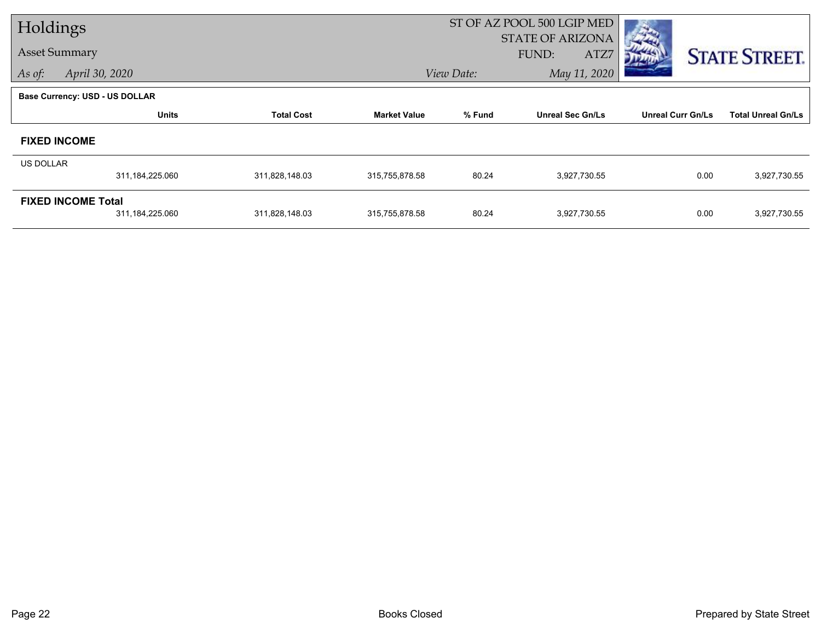| Holdings             |                                              |                   |                     | ST OF AZ POOL 500 LGIP MED |                                          |                          |                           |  |
|----------------------|----------------------------------------------|-------------------|---------------------|----------------------------|------------------------------------------|--------------------------|---------------------------|--|
| <b>Asset Summary</b> |                                              |                   |                     |                            | <b>STATE OF ARIZONA</b><br>FUND:<br>ATZ7 |                          | <b>STATE STREET.</b>      |  |
| As of:               | April 30, 2020                               |                   |                     | May 11, 2020<br>View Date: |                                          |                          |                           |  |
|                      | <b>Base Currency: USD - US DOLLAR</b>        |                   |                     |                            |                                          |                          |                           |  |
|                      | <b>Units</b>                                 | <b>Total Cost</b> | <b>Market Value</b> | % Fund                     | <b>Unreal Sec Gn/Ls</b>                  | <b>Unreal Curr Gn/Ls</b> | <b>Total Unreal Gn/Ls</b> |  |
|                      | <b>FIXED INCOME</b>                          |                   |                     |                            |                                          |                          |                           |  |
| US DOLLAR            |                                              |                   |                     |                            |                                          |                          |                           |  |
|                      | 311,184,225.060                              | 311,828,148.03    | 315,755,878.58      | 80.24                      | 3,927,730.55                             | 0.00                     | 3,927,730.55              |  |
|                      | <b>FIXED INCOME Total</b><br>311,184,225.060 | 311,828,148.03    | 315,755,878.58      | 80.24                      | 3,927,730.55                             | 0.00                     | 3,927,730.55              |  |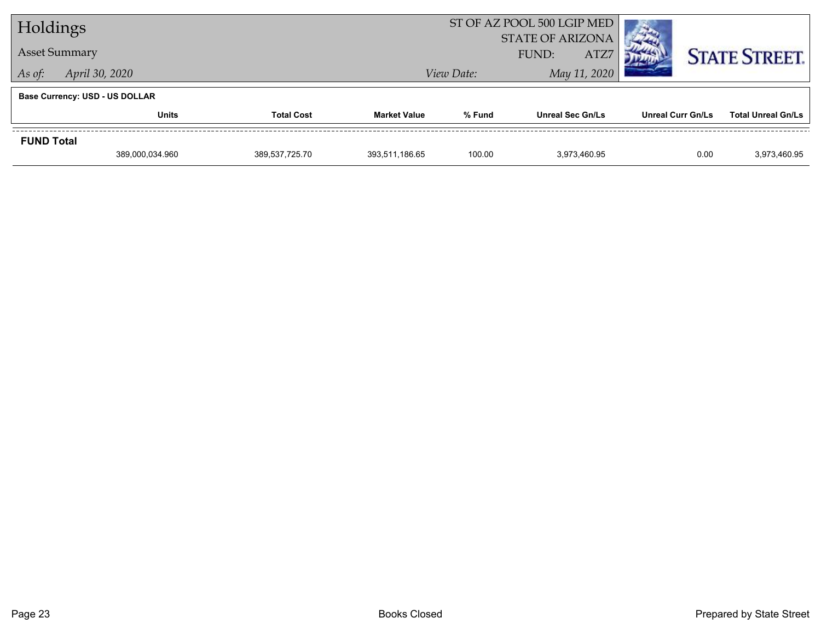| Holdings             |                                       |                   |                     | ST OF AZ POOL 500 LGIP MED               |                         |                          |                           |
|----------------------|---------------------------------------|-------------------|---------------------|------------------------------------------|-------------------------|--------------------------|---------------------------|
| <b>Asset Summary</b> |                                       |                   |                     | <b>STATE OF ARIZONA</b><br>ATZ7<br>FUND: |                         |                          | <b>STATE STREET.</b>      |
| As of:               | April 30, 2020                        |                   |                     | View Date:                               |                         |                          |                           |
|                      | <b>Base Currency: USD - US DOLLAR</b> |                   |                     |                                          |                         |                          |                           |
|                      | <b>Units</b>                          | <b>Total Cost</b> | <b>Market Value</b> | % Fund                                   | <b>Unreal Sec Gn/Ls</b> | <b>Unreal Curr Gn/Ls</b> | <b>Total Unreal Gn/Ls</b> |
| <b>FUND Total</b>    |                                       |                   |                     |                                          |                         |                          |                           |
|                      | 389,000,034.960                       | 389.537.725.70    | 393,511,186.65      | 100.00                                   | 3.973.460.95            | 0.00                     | 3,973,460.95              |